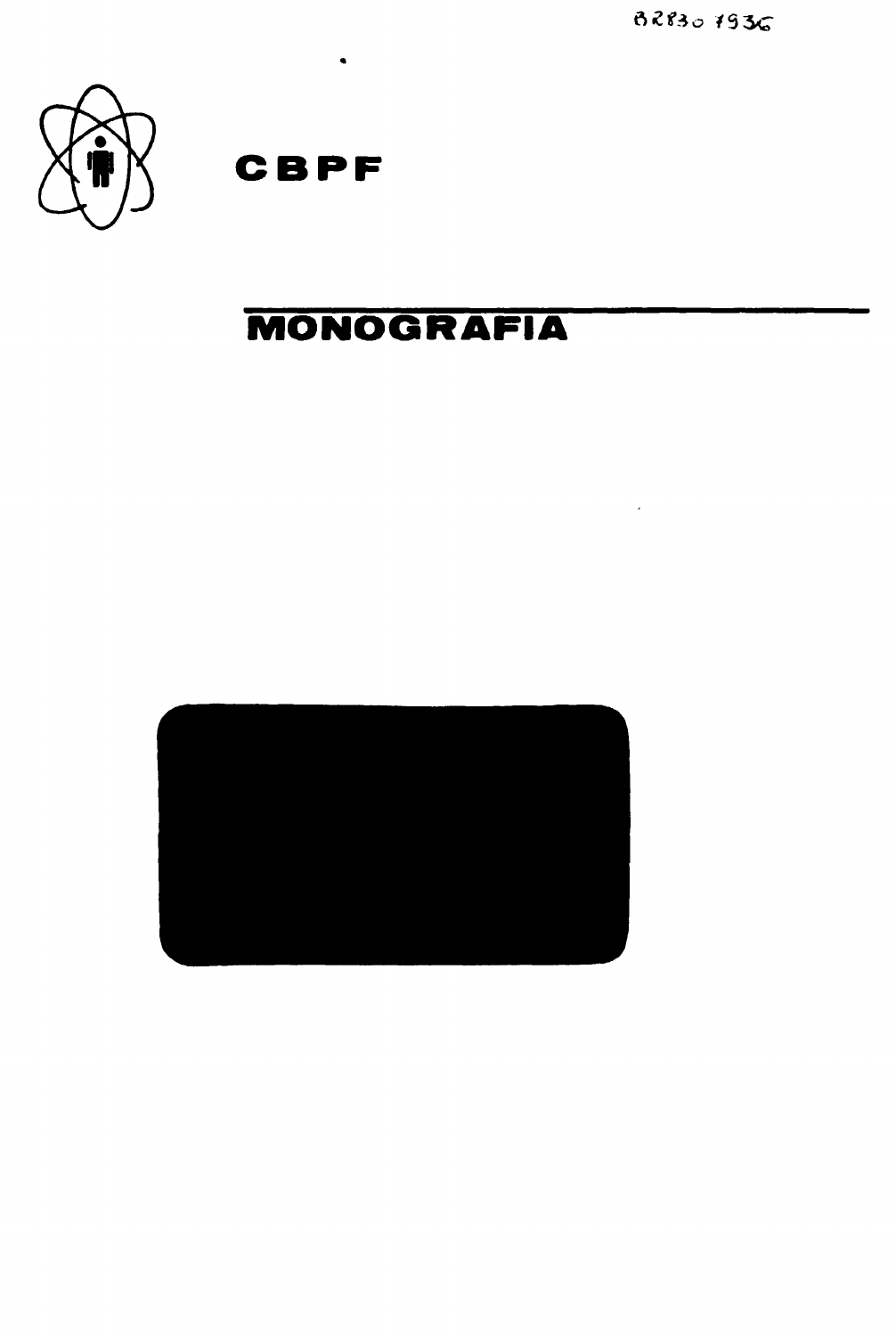82830 7936

 $\sim 10^{-1}$ 



**CBPF**

 $\bullet$ 

# **MONOGRAFIA**

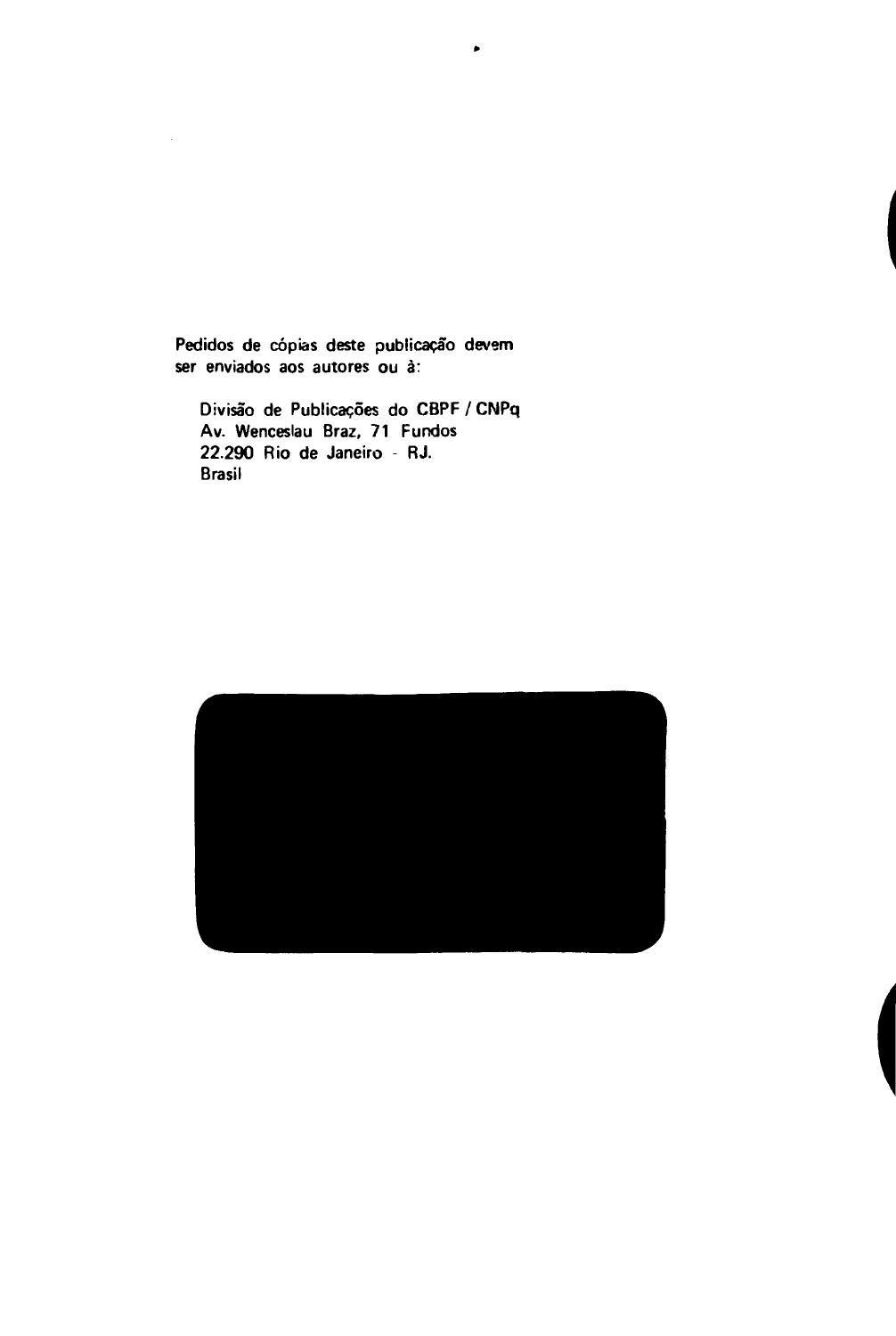**Pedidos de cópias deste publicação devem ser enviados aos autores ou a:**

 $\bullet$ 

**Divisão de Publicações do CBPF / CNPq Av. Wenceslau Braz, 71 Fundos 22.290 Rio de Janeiro - RJ. Brasil**

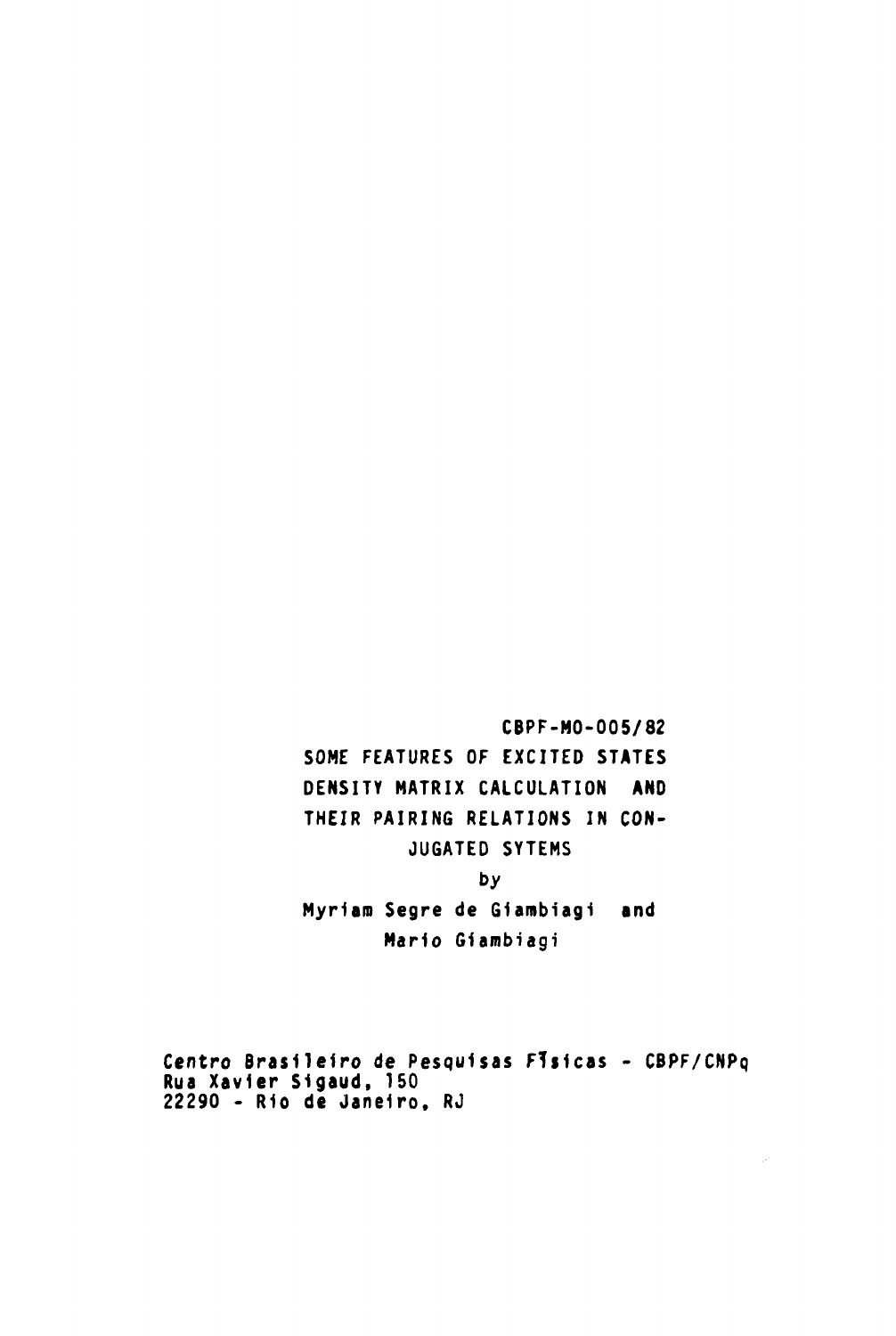**CBPF-MO-005/82 SOME FEATURES OF EXCITED STATES**

 $\sim$ 

**DENSITY MATRIX CALCULATION AND THEIR PAIRING RELATIONS IN CON-JUGATED SYTEMS**

# **by**

**Myriam Segre de Giambiagi and Mario Giambiagi**

**Centro Brasileiro de Pesquisas FTsicas - CBPF/CNPq Rua Xavier Sigaud, 150 22290 - R1o de Janeiro, RJ**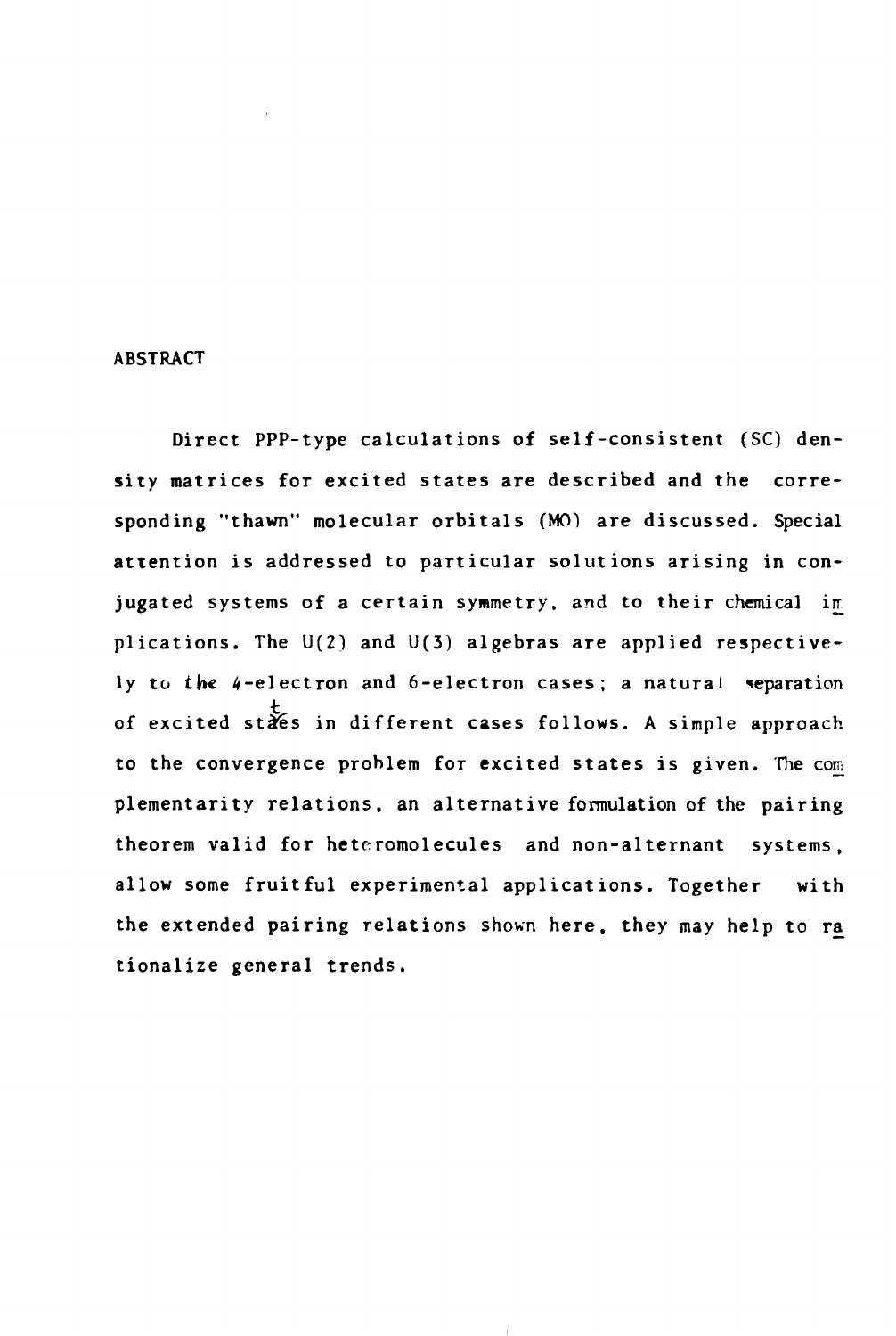### **ABSTRACT**

**Direct PPP-type calculations of self-consistent (SC) density matrices for excited states are described and the corresponding "thawn" molecular orbitais (MO) are discussed. Special attention is addressed to particular solutions arising in con**jugated systems of a certain symmetry, and to their chemical im **plications. The U(2) and U(3) algebras are applied respectively to the 4-electron and 6-electron cases; a natural reparation of excited staês in different cases follows. A simple approach** to the convergence problem for excited states is given. The com **plementarity relations, an alternative formulation of the pairing theorem valid for hetcromolecules and non-alternant systems, allow some fruitful experimental applications. Together with the extended pairing relations shown here, they may help to ra tionalize general trends.**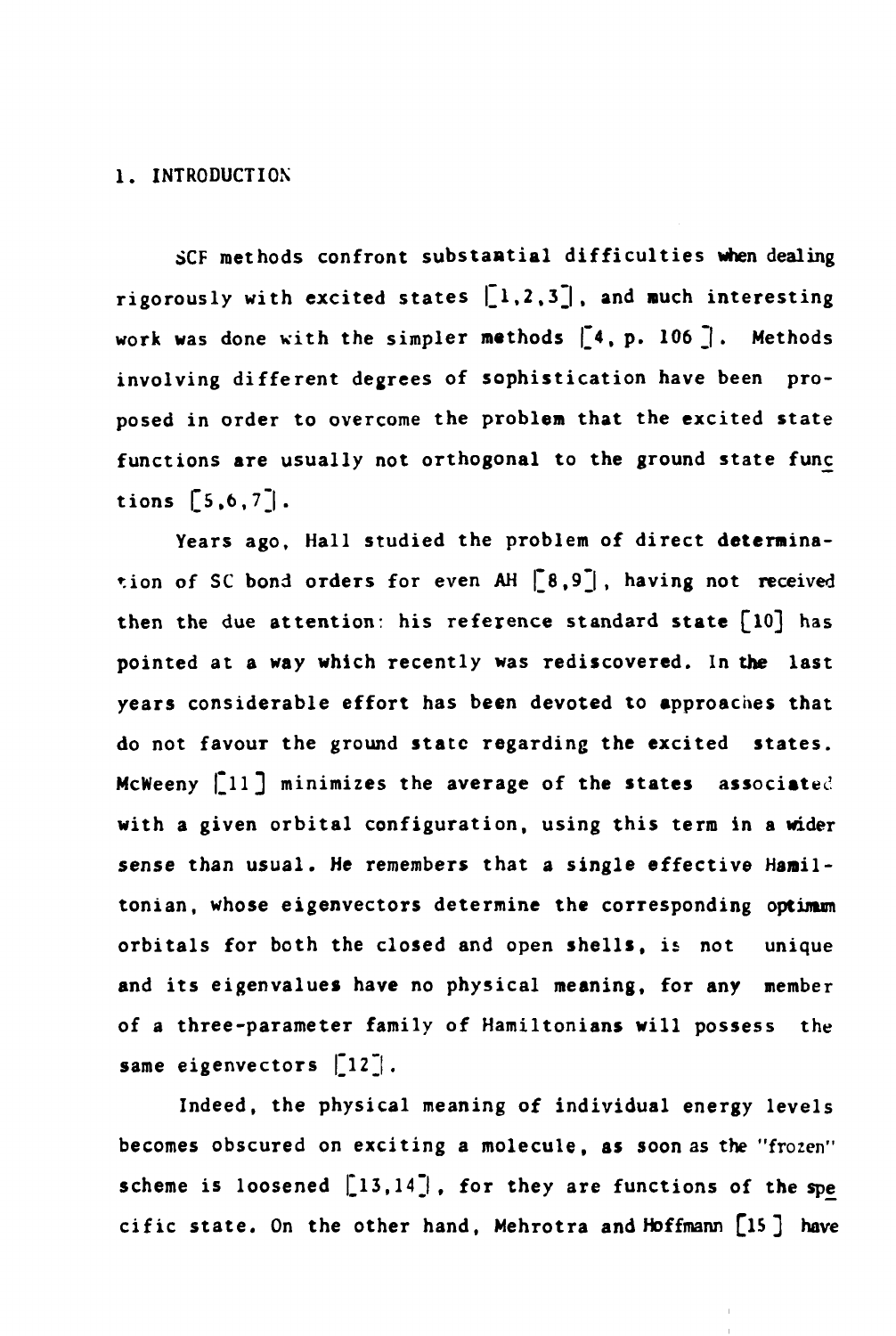## **1. INTRODUCTION**

**SCF methods confront substantial difficulties when dealing** rigorously with excited states  $\left[1,2,3\right]$ , and much interesting work was done with the simpler methods [4, p. 106]. Methods **involving different degrees of sophistication have been proposed in order to overcome the problem that the excited state functions are usually not orthogonal to the ground state func** tions  $[5, 6, 7]$ .

**Years ago. Hall studied the problem of direct determina**tion of SC bond orders for even AH  $\begin{bmatrix} 8,9 \end{bmatrix}$ , having not received **then the due attention: his reference standard state £lO] has pointed at a way which recently was rediscovered. In the last years considerable effort has been devoted to approaches that do not favour the ground state regarding the excited states. McWeeny [ll] minimizes the average of the states associated with a given orbital configuration, using this term in a wider sense than usual. He remembers that a single effective Haniltonian, whose eigenvectors determine the corresponding optimum orbitais for both the closed and open shells, is not unique and its eigenvalues have no physical meaning, for any member of a three-parameter family of Hamiltonians will possess the** same eigenvectors [12<sup>-</sup>].

**Indeed, the physical meaning of individual energy levels becomes obscured on exciting a molecule, as soon as the "frozen"** scheme is loosened [13,14], for they are functions of the spe **cific state. On the other hand, Mehrotra and Hoffmann [15 ] have**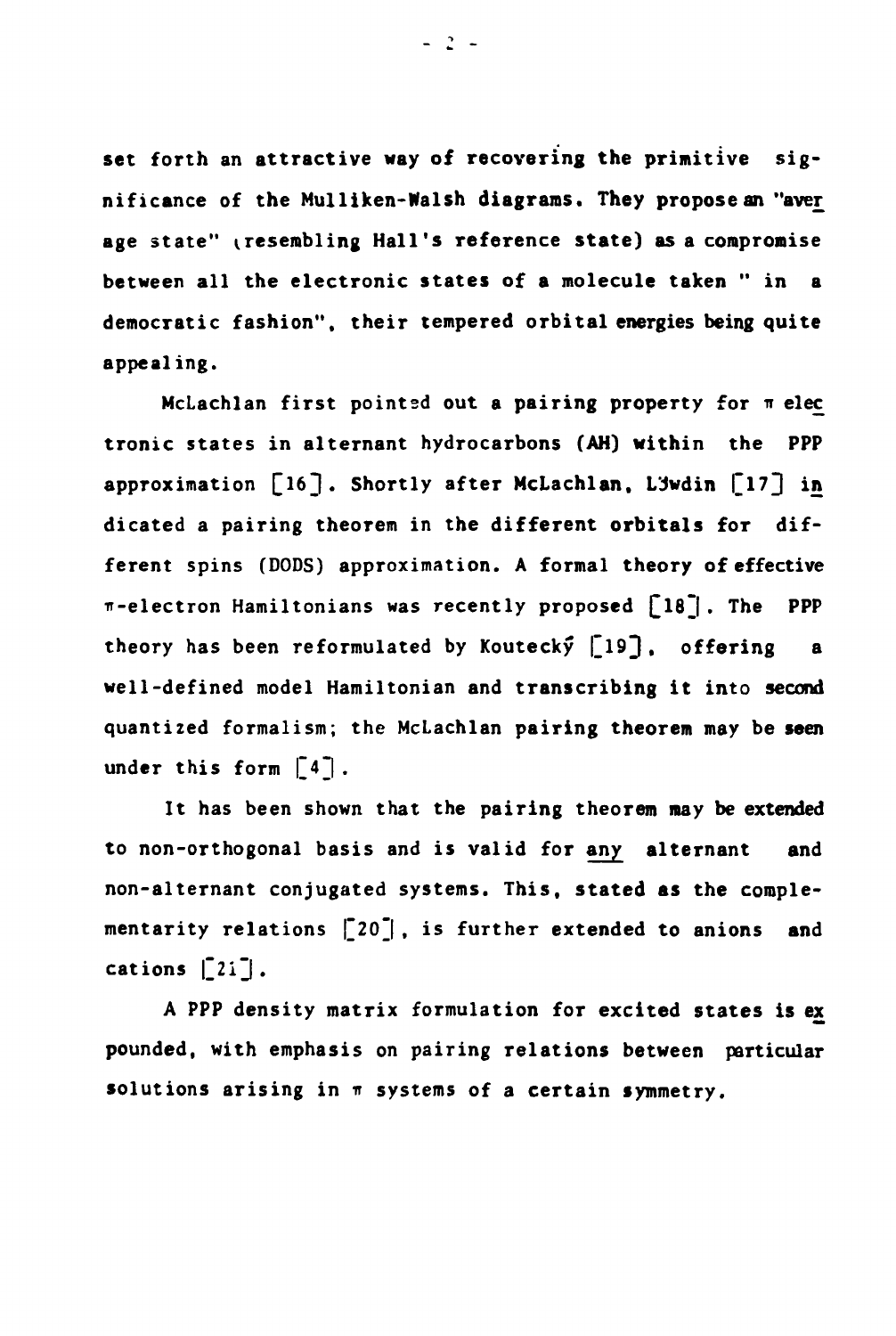**set forth an attractive way of recovering the primitive significance of the Mulliken-Walsh diagrams. They propose an "ave£ age state" (.resembling Hall's reference state) as a compromise between all the electronic states of a molecule taken " in a democratic fashion", their tempered orbital energies being quite appealing.**

**McLachlan first pointed out a pairing property for n elec tronic states in alternant hydrocarbons (AH) within the PPP approximation [16]. Shortly after McLachlan, LJwdin [17] in dicated a pairing theorem in the different orbitais for different spins (DODS) approximation. A formal theory of effective ir-electron Hamiltonians was recently proposed £l83 . The PPP theory has been reformulated by Koutecky £193 • offering a well-defined model Hamiltonian and transcribing it into second quantized formalism; the McLachlan pairing theorem may be seen under this form |~4~| .**

**It has been shown that the pairing theorem may be extended to non-orthogonal basis and is valid for any alternant and non-alternant conjugated systems. This, stated as the complementarity relations |~20~| , is further extended to anions and**  $cations$   $|2i$ ,

**A PPP density matrix formulation for excited states is ex pounded, with emphasis on pairing relations between particular** solutions arising in  $\pi$  systems of a certain symmetry.

 $-2 -$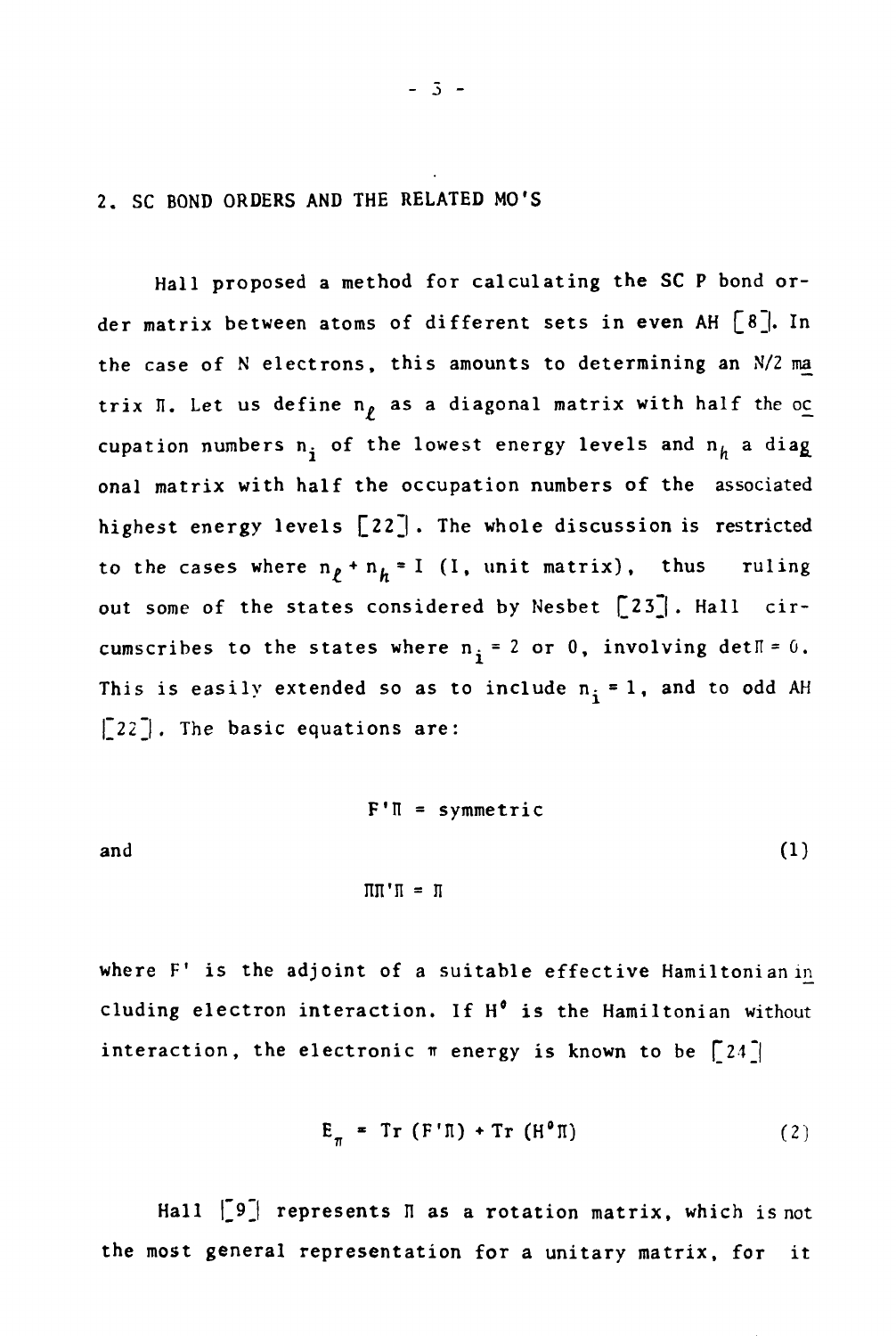**2. SC BOND ORDERS AND THE RELATED MO'S**

**Hall proposed a method for calculating the SC P bond or**der matrix between atoms of different sets in even AH  $[8]$ . In **the case of N electrons, this amounts to determining an N/2 ma** trix  $\Pi$ . Let us define  $n<sub>p</sub>$  as a diagonal matrix with half the oc cupation numbers  $n_i$  of the lowest energy levels and  $n_h$  a diag **onal matrix with half the occupation numbers of the associated highest energy levels Q22\_| . The whole discussion is restricted** to the cases where  $n_p + n_h = I$  (I, unit matrix), thus ruling out some of the states considered by Nesbet [23]. Hall circumscribes to the states where  $n_i = 2$  or 0, involving det $\mathbb{I} = 0$ . This is easily extended so as to include  $n_i = 1$ , and to odd AH **|\_22 |. The basic equations are:**

$$
F' \Pi = symmetric
$$
\nand

\n
$$
\Pi \Pi' \Pi = \Pi
$$
\n(1)

**where F' is the adjoint of a suitable effective Hamiltonian in eluding electron interaction. If H° is the Hamiltonian without** interaction, the electronic  $\pi$  energy is known to be  $\lceil 24 \rceil$ 

$$
E_{\pi} = Tr (F' \Pi) + Tr (H^{\circ} \Pi)
$$
 (2)

**Hall |\_9j represents n as a rotation matrix, which is not the most general representation for a unitary matrix, for it**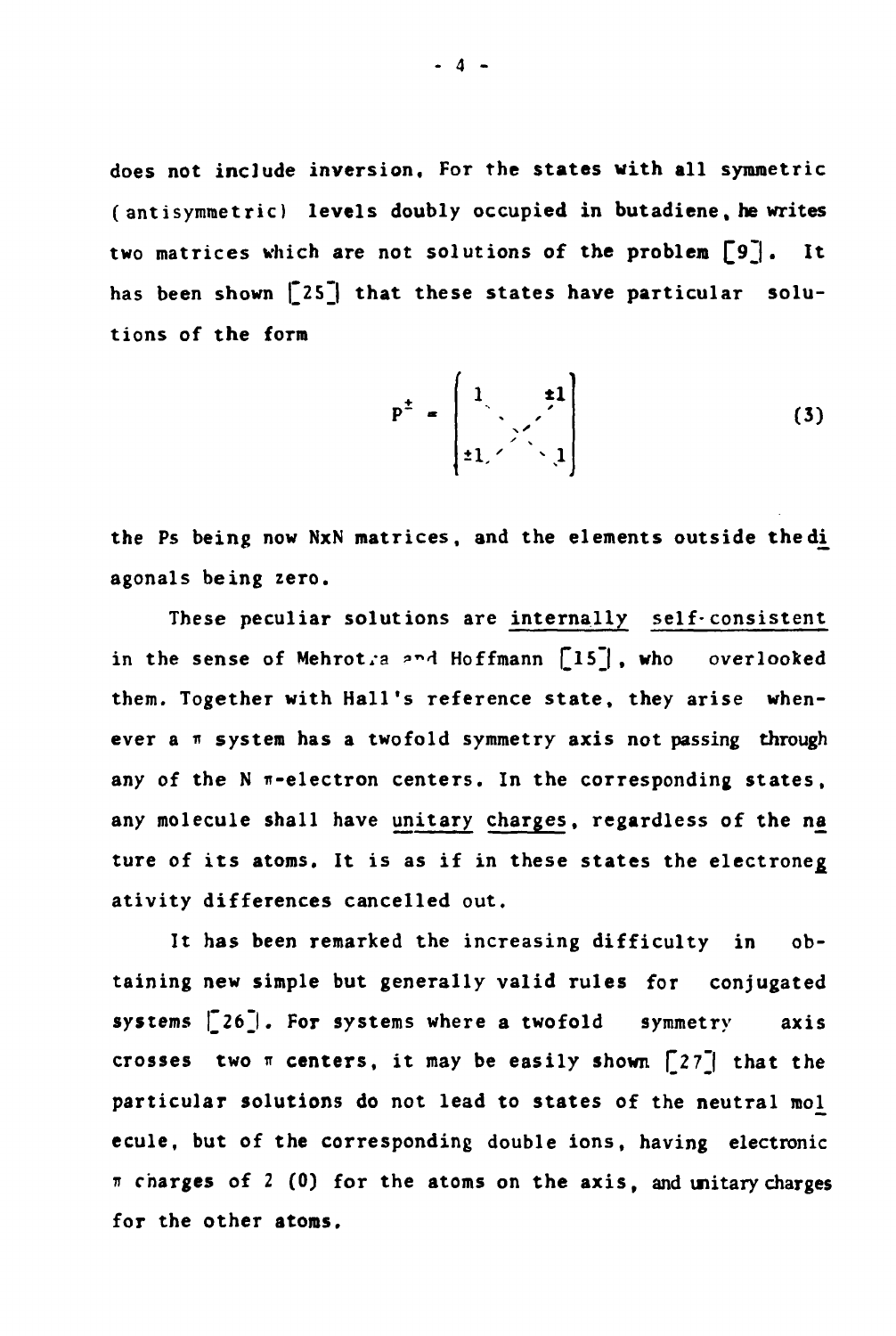**does not include inversion. For the states with all symmetric (antisymmetric) levels doubly occupied in butadiene, he writes two matrices which are not solutions of the problem £9~|. It** has been shown [25] that these states have particular solu**tions of the form**

$$
P^{\pm} = \begin{bmatrix} 1 & \pm 1 \\ \frac{1}{2} & \frac{1}{2} \end{bmatrix}
$$
 (3)

**the Ps being now NxN matrices, and the elements outside thedji agonals being zero.**

**These peculiar solutions are internally self-consistent** in the sense of Mehrot.a and Hoffmann [15], who overlooked **them. Together with Hall's reference state, they arise when**ever a  $\pi$  system has a twofold symmetry axis not passing through any of the N  $\pi$ -electron centers. In the corresponding states, **any molecule shall have unitary charges, regardless of the na ture of its atoms. It is as if in these states the electroneg ativity differences cancelled out.**

**It has been remarked the increasing difficulty in obtaining new simple but generally valid rules for conjugated systems £26~|. For systems where a twofold symmetry axis** crosses two  $\pi$  **centers, it may be easily shown**  $\begin{bmatrix} 27 \end{bmatrix}$  **that the** particular solutions do not lead to states of the neutral mol **ecule, but of the corresponding double ions, having electronic 7i charges of 2 (0) for the atoms on the axis, and unitary charges for the other atoms.**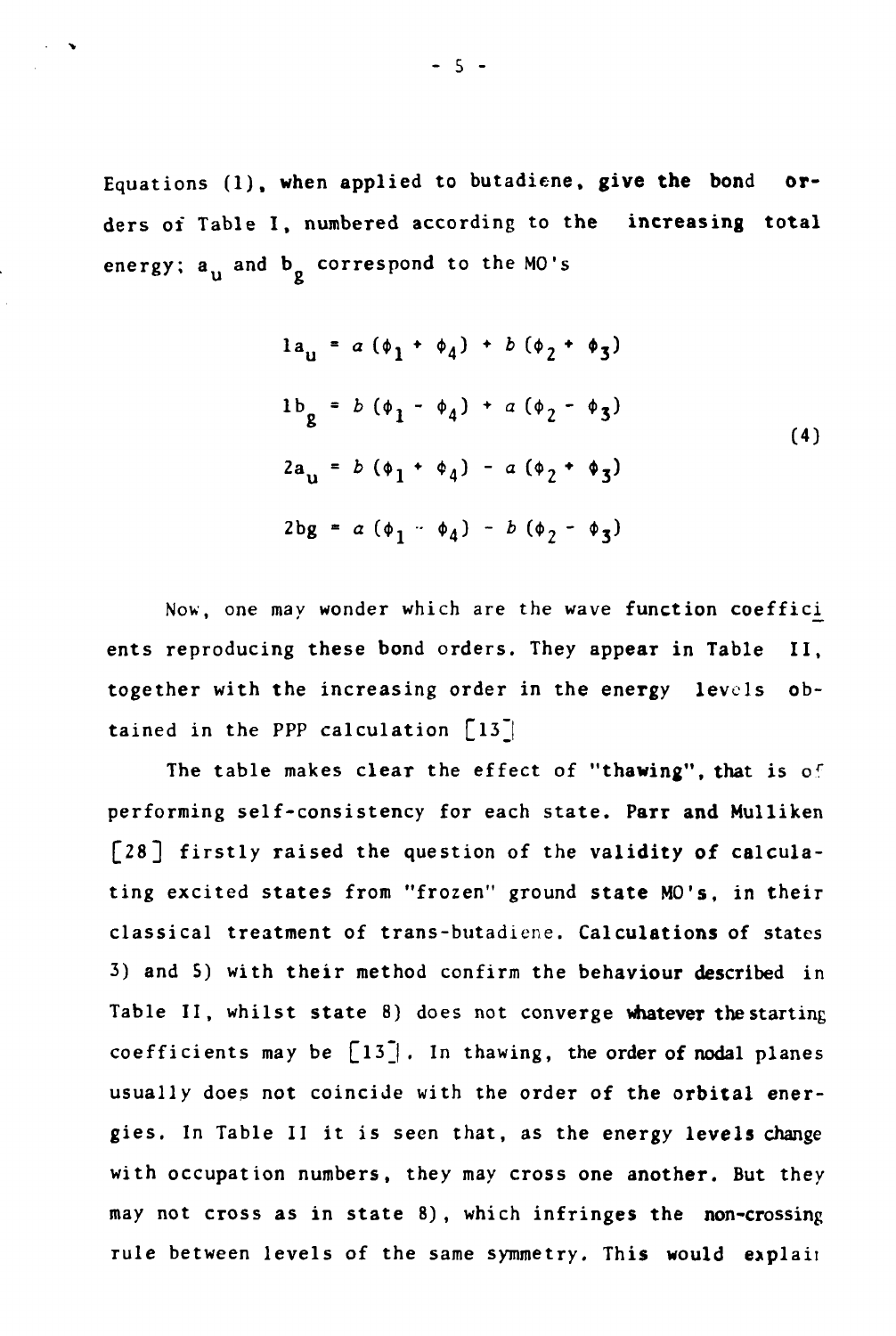**Equations (1), when applied to butadiene, give the bond orders of Table I, numbered according to the increasing total** energy; a<sub>n</sub> and b<sub>o</sub> correspond to the MO's

$$
1au = a (\phi1 + \phi4) + b (\phi2 + \phi3)
$$
  
\n
$$
1bg = b (\phi1 - \phi4) + a (\phi2 - \phi3)
$$
  
\n
$$
2au = b (\phi1 + \phi4) - a (\phi2 + \phi3)
$$
  
\n
$$
2bg = a (\phi1 - \phi4) - b (\phi2 - \phi3)
$$
 (4)

**Now, one may wonder which are the wave function coeffici^ ents reproducing these bond orders. They appear in Table II, together with the increasing order in the energy levels obtained in the PPP calculation [l3~|**

**The table makes clear the effect of "thawing", that is o<sup>r</sup> performing self-consistency for each state. Parr and Mulliken [28] firstly raised the question of the validity of calculating excited states from "frozen" ground state MO's, in their classical treatment of trans-butadiene. Calculations of states 3) and 5) with their method confirm the behaviour described in Table II, whilst state 8) does not converge whatever the starting coefficients may be £l3j . In thawing, the order of nodal planes usually does not coincide with the order of the orbital energies. In Table II it is seen that, as the energy levels change with occupation numbers, they may cross one another. But they may not cross as in state 8) , which infringes the non-crossing** rule between levels of the same symmetry. This would explain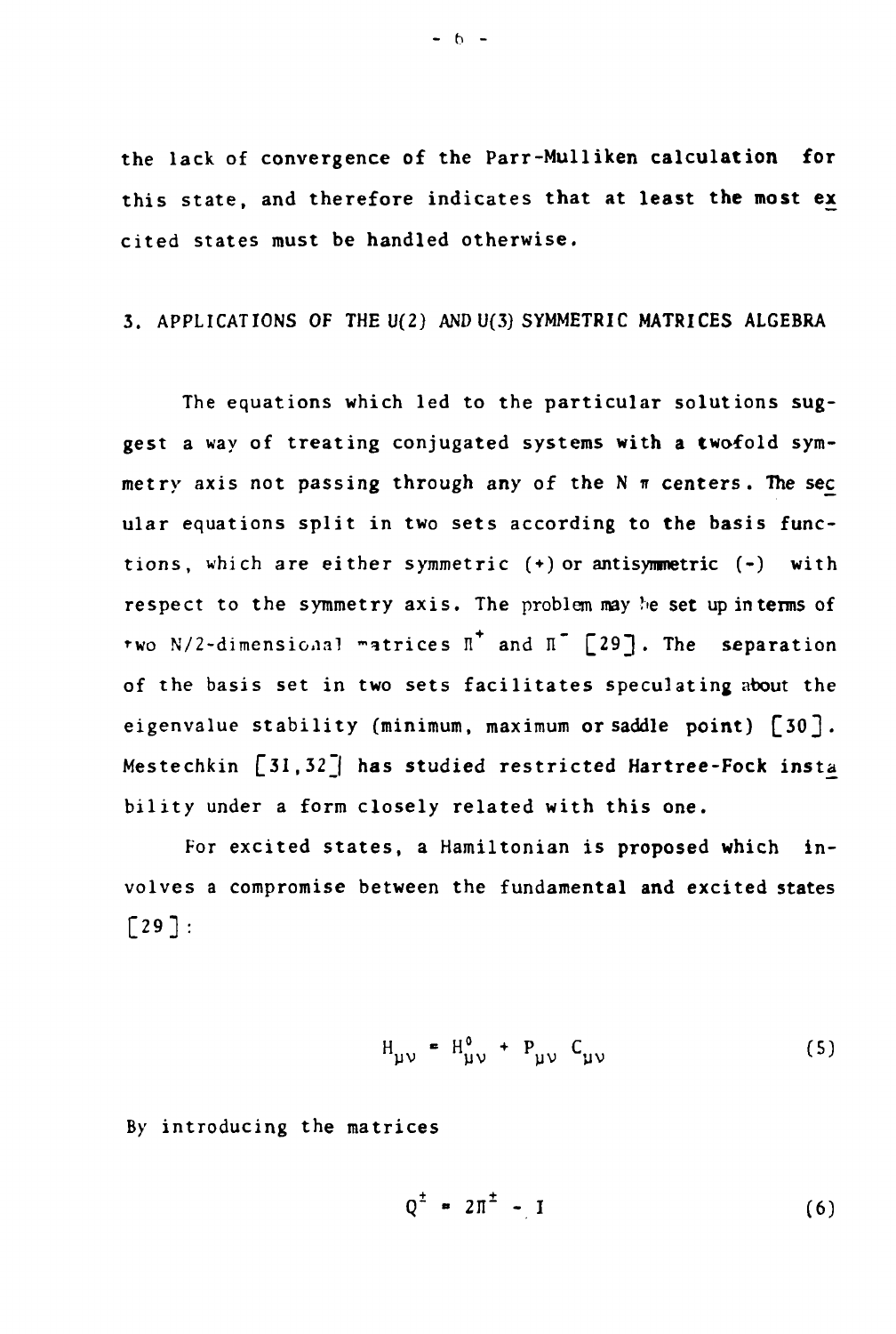**the lack of convergence of the Parr-Mulliken calculation for this state, and therefore indicates that at least the most ex cited states must be handled otherwise.**

# **3. APPLICATIONS OF THE U(2) AND U(3) SYMMETRIC MATRICES ALGEBRA**

**The equations which led to the particular solutions suggest a way of treating conjugated systems with a twofold sym** $m$ etry axis not passing through any of the  $N \pi$  centers. The sec **ular equations split in two sets according to the basis functions, which are either symmetric ( + ) or antisymmetric (-) with respect to the symmetry axis. The problem may he set upinterms of**  $\mathbf{f}$  wo N/2-dimensional matrices  $\mathbf{I}^*$  and  $\mathbf{I}^*$  [29]. The separation **of the basis set in two sets facilitates speculating about the** eigenvalue stability (minimum, maximum or saddle point) [30]. **Mestechkin [31,32\_| has studied restricted Hartree-Fock insta bility under a form closely related with this one.**

**For excited states, a Hamiltonian is proposed which involves a compromise between the fundamental and excited states**  $\lceil 29 \rceil$ :

$$
H_{\mu\nu} = H_{\mu\nu}^{0} + P_{\mu\nu} C_{\mu\nu}
$$
 (5)

**By introducing the matrices**

$$
Q^{\pm} = 2\pi^{\pm} - I \tag{6}
$$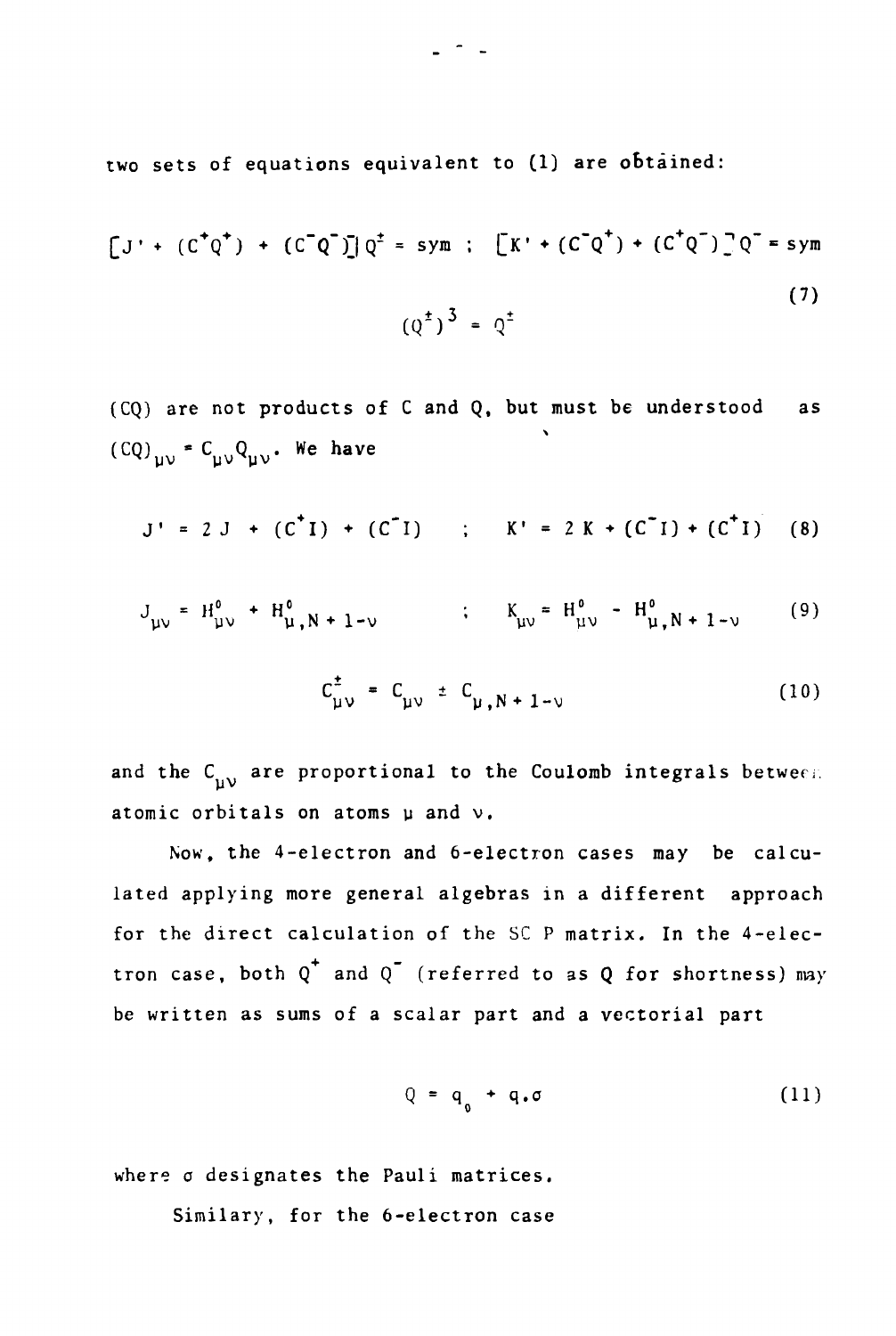two sets of equations equivalent to (1) are obtained:

$$
[J' + (C^{\dagger}Q^+) + (C^{\dagger}Q^{\dagger})]Q^{\dagger} = sym ; \quad [K' + (C^{\dagger}Q^+) + (C^{\dagger}Q^{\dagger})]Q^{\dagger} = sym
$$
\n(7)

(CQ) are not products of C and Q, but must be understood as  $(CQ)_{\mu\nu} = C_{\mu\nu} Q_{\mu\nu}$ . We have

$$
J' = 2 J + (C^{T}I) + (C^{T}I) ; K' = 2 K + (C^{T}I) + (C^{T}I) (8)
$$

$$
J_{\mu\nu} = H_{\mu\nu}^{0} + H_{\mu}^{0}, N + 1 - \nu \qquad ; \qquad K_{\mu\nu} = H_{\mu\nu}^{0} - H_{\mu}^{0}, N + 1 - \nu \qquad (9)
$$

$$
C_{\mu\nu}^{\pm} = C_{\mu\nu}^{\pm} C_{\mu,N+1-\nu}
$$
 (10)

and the  $C_{\mu\nu}$  are proportional to the Coulomb integrals between atomic orbitals on atoms  $\mu$  and  $\nu$ .

Now, the 4-electron and 6-electron cases may be calculated applying more general algebras in a different approach for the direct calculation of the SC P matrix. In the 4-electron case, both  $Q^+$  and  $Q^-$  (referred to as Q for shortness) may be written as sums of a scalar part and a vectorial part

$$
Q = q_{0} + q_{0} \tag{11}
$$

where o designates the Pauli matrices.

Similary, for the 6-electron case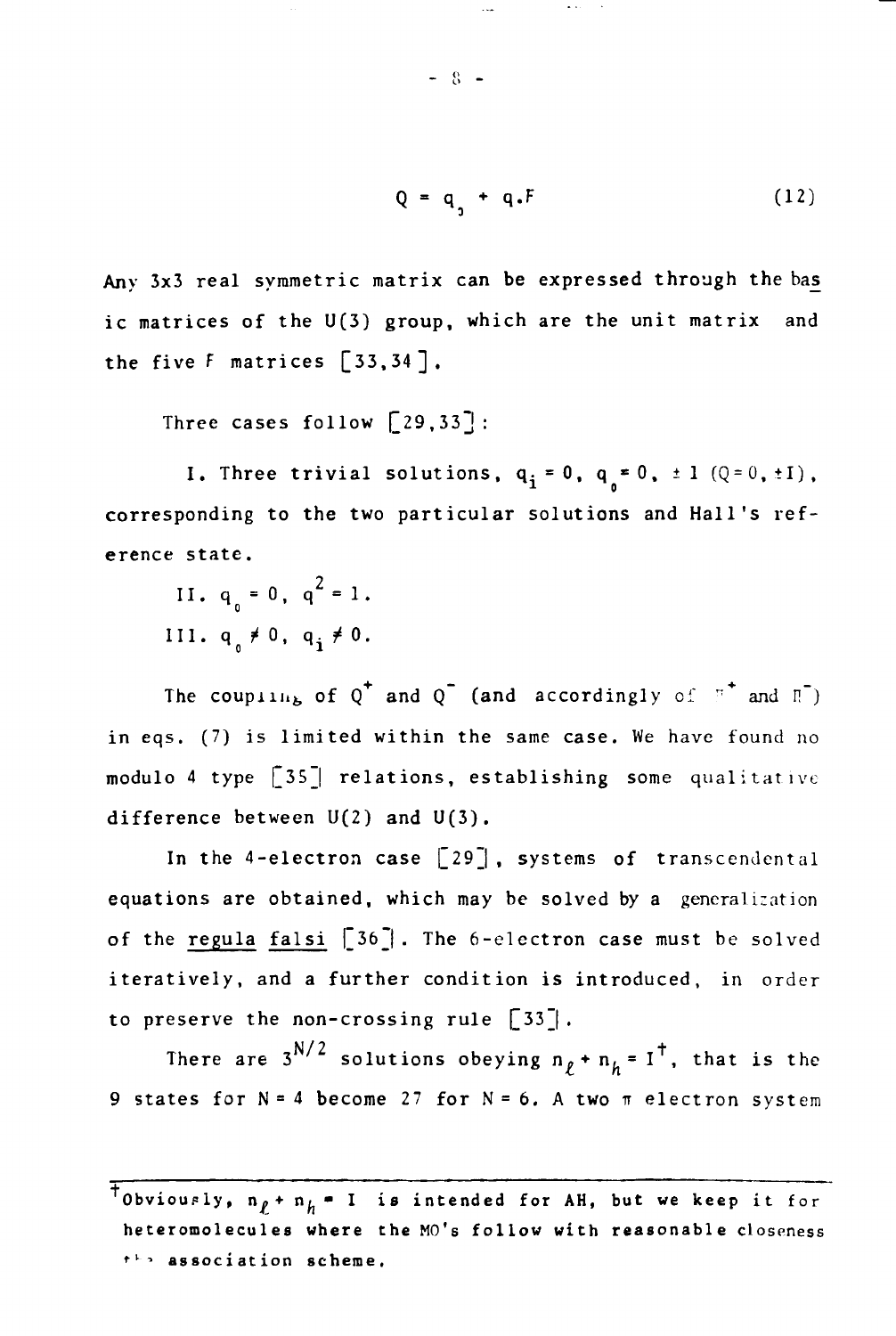$$
Q = q_1 + q_1 F \tag{12}
$$

Any 3x3 real symmetric matrix can be expressed through the bas^ ic matrices of the U(3) group, which are the unit matrix and the five F matrices [33,34],

Three cases follow  $[29,33]$ :

I. Three trivial solutions,  $q_i = 0$ ,  $q_s = 0$ ,  $\pm 1$  (Q=0,  $\pm 1$ ), corresponding to the two particular solutions and Hall's refcorresponding to the two particula r solutions and Hall's ref-

 $\ddot{\phantom{a}}$  .  $\ddot{\phantom{a}}$ 

III . qo *t* 0, q. *t* 0.

The coupling of  $Q^{\top}$  and  $Q^{\top}$  (and accordingly of  $\mathbb{F}^{\top}$  and  $\mathbb{F}^{\top}$ ) in eqs. (7) is limited within the same case. We have found no modulo 4 type [35J relations, establishing some qualitative difference between  $U(2)$  and  $U(3)$ .

In the 4-electron case  $\lceil 29 \rceil$ , systems of transcendental equations are obtained, which may be solved by a generalization of the regula falsi [36]. The 6-electron case must be solved iteratively, and a further condition is introduced, in order to preserve the non-crossing rule  $\lceil 33 \rceil$ .

There are  $3^{N/2}$  solutions obeying  $n_{\ell}$  +  $n_{h}$  = I<sup>+</sup>, that is the 9 states for  $N = 4$  become 27 for  $N = 6$ . A two  $\pi$  electron system

 $-8 -$ 

TObviously,  $n_f + n_h = 1$  is intended for AH, but we keep it for **heteromolecules where the MO's follow with reasonable closeness ••<sup>v</sup>•-» association scheme.**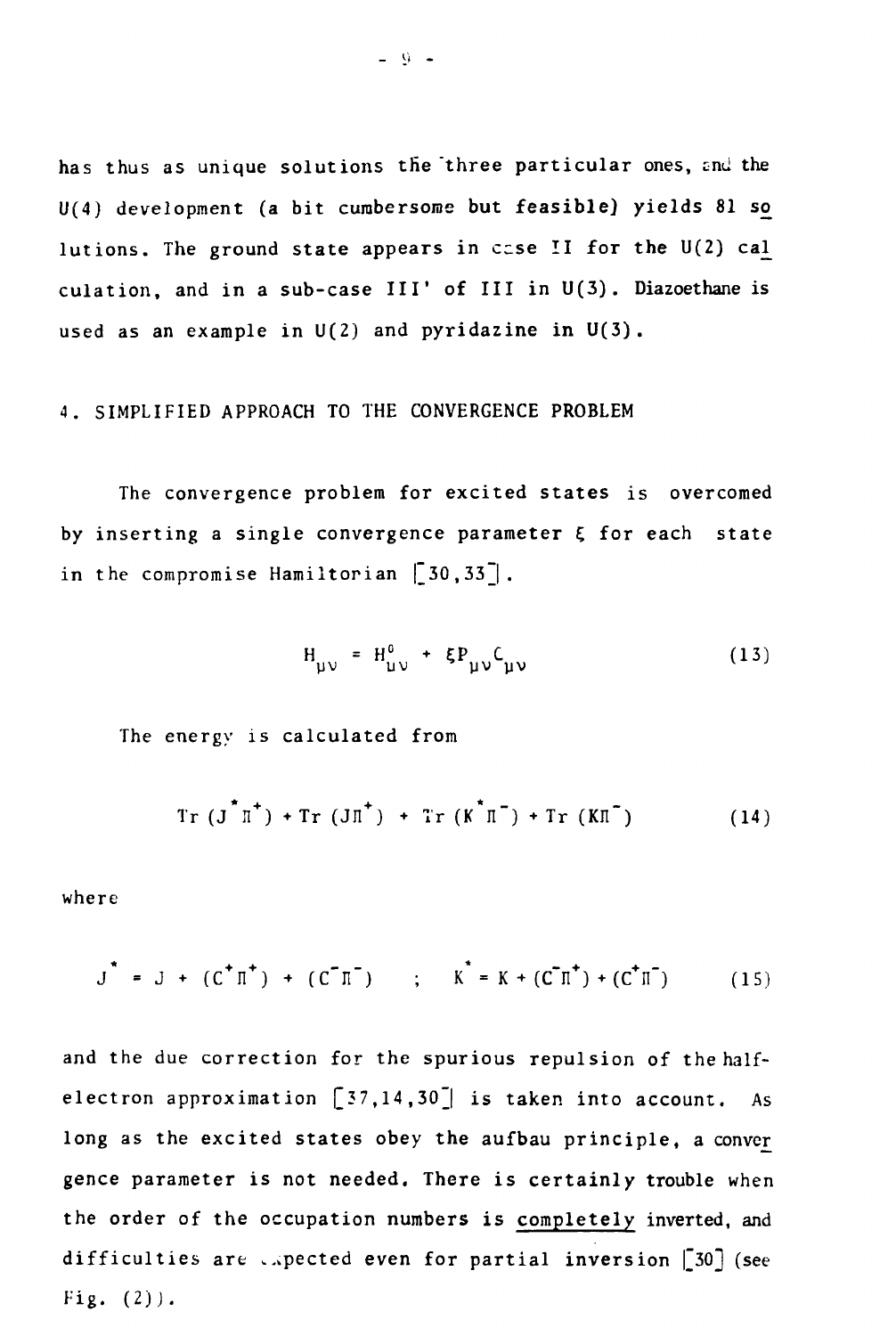has thus as unique solutions the three particular ones, and the U(4) development (a bit cumbersome but feasible] yields 81 so lutions. The ground state appears in ccse II for the U(2) cal\_ culation, and in a sub-case III' of III in  $U(3)$ . Diazoethane is used as an example in  $U(2)$  and pyridazine in  $U(3)$ .

## 4. SIMPLIFIED APPROACH TO THE CONVERGENCE PROBLEM

The convergence problem for excited states is overcomed by inserting a single convergence parameter  $\xi$  for each state in the compromise Hamiltorian  $\begin{bmatrix} 30,33 \end{bmatrix}$ .

$$
H_{\mu\nu} = H_{\mu\nu}^0 + \xi P_{\mu\nu} C_{\mu\nu}
$$
 (13)

The energy is calculated from

$$
Tr (J^{\uparrow} \pi^+) + Tr (J \pi^+) + Tr (K^{\uparrow} \pi^-) + Tr (K \pi^-)
$$
 (14)

where

$$
J^{\top} = J + (C^{\top} \Pi^+) + (C^{\top} \Pi^-) \qquad ; \qquad K^{\top} = K + (C^{\top} \Pi^+) + (C^{\top} \Pi^-) \qquad (15)
$$

and the due correction for the spurious repulsion of the halfelectron approximation  $[37,14,30]$  is taken into account. As long as the excited states obey the aufbau principle, a conver gence parameter is not needed. There is certainly trouble when the order of the occupation numbers is completely inverted, and difficulties are expected even for partial inversion  $[30]$  (see Fig.  $(2)$ ).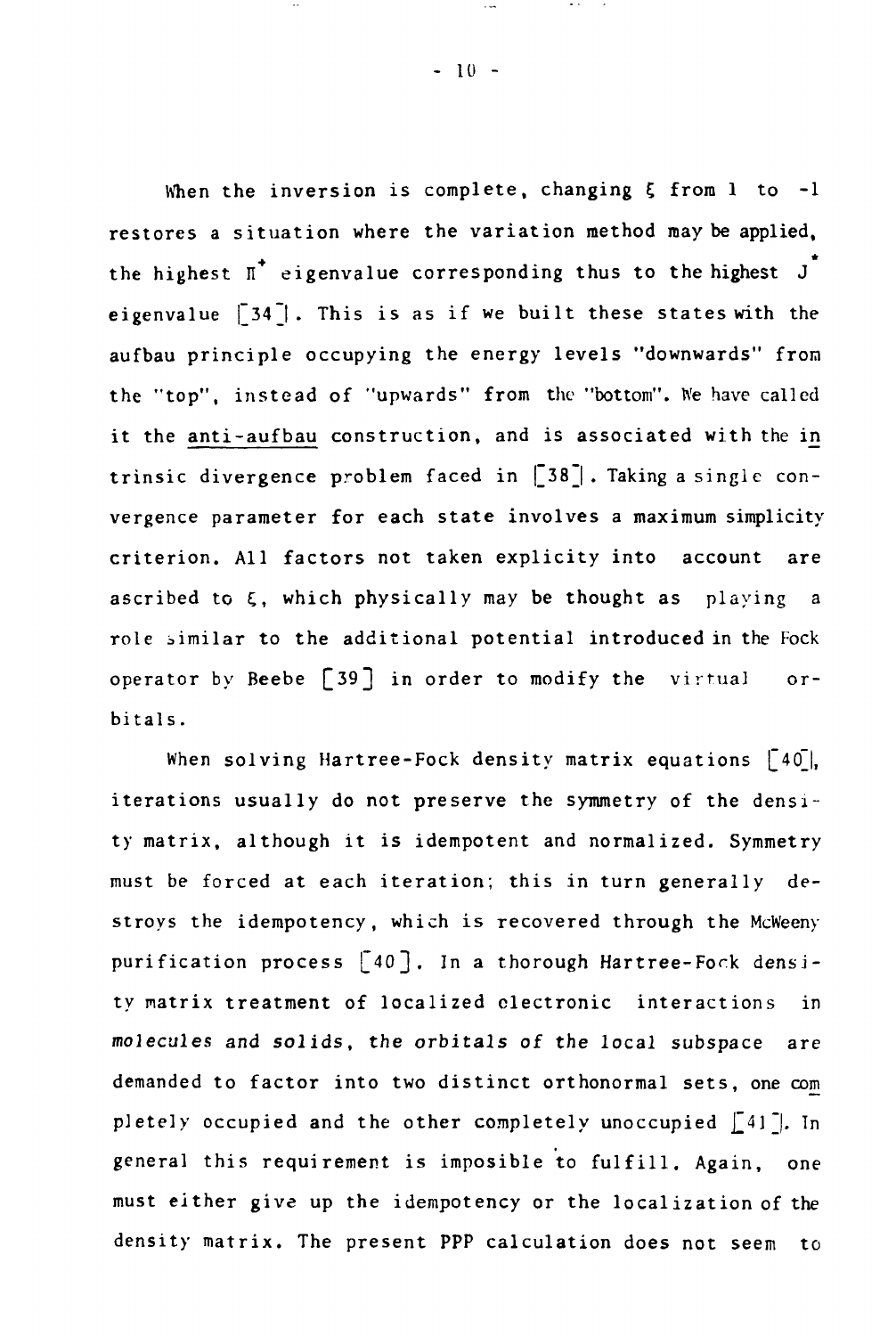When the inversion is complete, changing  $\xi$  from 1 to -1 restores a situation where the variation method may be applied, the highest  $\pi^*$  eigenvalue corresponding thus to the highest  $J^*$ eigenvalue  $\lceil 34 \rceil$ . This is as if we built these states with the aufbau principle occupying the energy levels "downwards" from the "top", instead of "upwards" from the "bottom". We have called it the anti-aufbau construction, and is associated with the in trinsic divergence problem faced in  $\lceil 38 \rceil$ . Taking a single convergence parameter for each state involves a maximum simplicity criterion. All factors not taken explicity into account are ascribed to  $\xi$ , which physically may be thought as playing a role similar to the additional potential introduced in the Fock  $or$ operator by  $B_1$  in order to  $B_2$  in order to modify the virtual order to modify the virtual order to  $\mathcal{A}_1$ bitals.

 $W_{\rm eff} = 400$   $W_{\rm eff} = 400$   $W_{\rm eff} = 400$   $W_{\rm eff} = 400$ iterations usually do not preserve the symmetry of the density matrix, although it is identified. Symmetry, although it is identified. Symmetry,  $\mathcal{L}$ must be forced at each iteration; this in turn generally destroys the idempotency, which is recovered through the McWeeny purification process  $\lceil 40 \rceil$ . In a thorough Hartree-Fock densiin ty matrix treatment of localized electronic interactions in molecules and solids, the orbitals, the orbitals of the local subspace are  $\mathcal{L}_\mathbf{r}$ demanded to factor into two distinct orthonormal sets, one com pletely occupied and the other completely unoccupied  $[41]$ . In general this requirement is imposible to function  $\mathcal{L}_{\mathbf{g}}$  $\sigma$  is the integral up the idempotency or the localization of the localization of the localization of the localization of the localization of the localization of the localization of the localization of the localization o density matrix. The present PPP calculation does not seem to

 $\sim$   $\sim$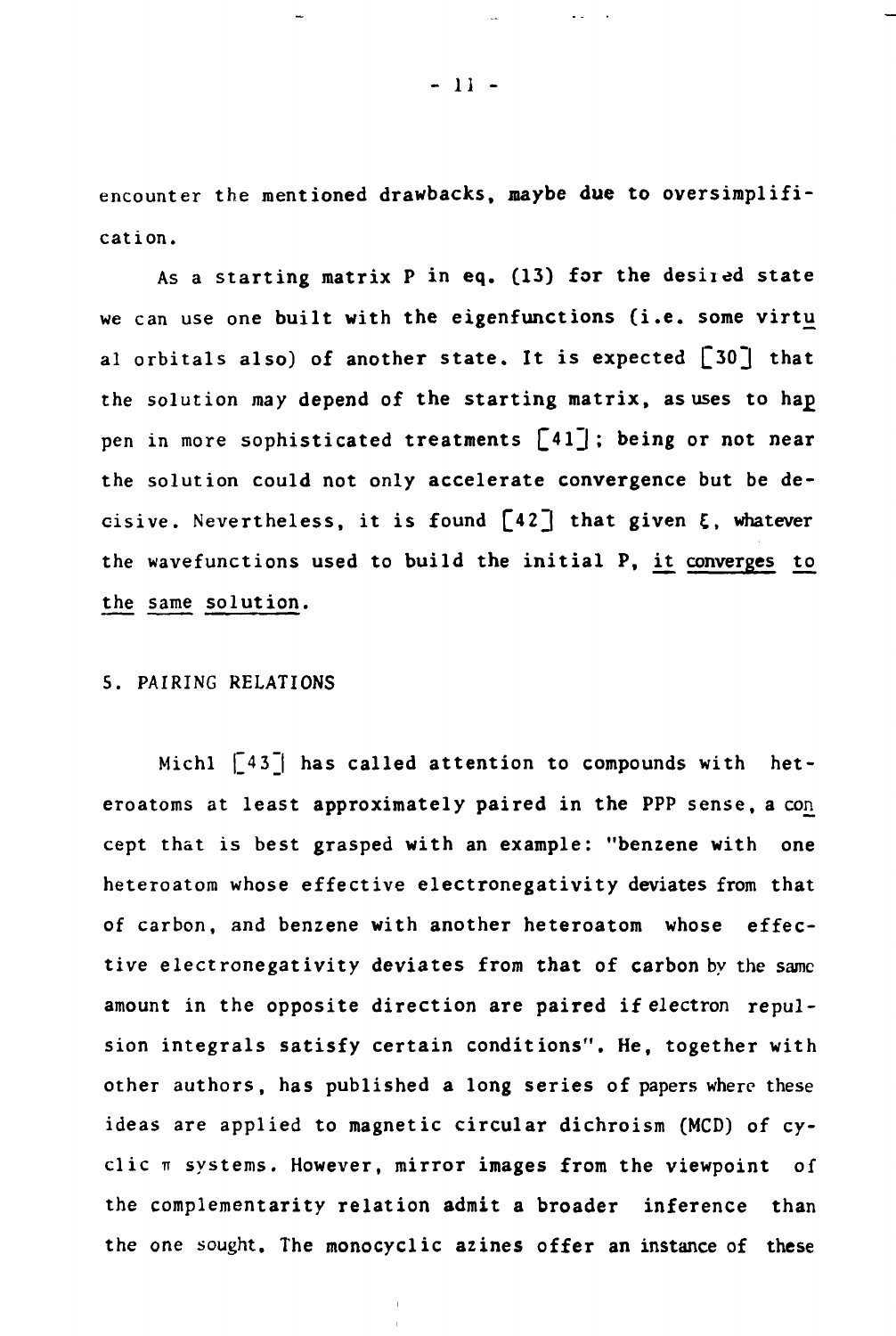**encounter the mentioned drawbacks, maybe due to oversimplification.**

**As a starting matrix P in eq. (13) for the desired state we can use one built with the eigenfunctions (i.e. some virtu** al orbitals also) of another state. It is expected [30] that the solution may depend of the starting matrix, as uses to hap pen in more sophisticated treatments  $\lceil 41 \rceil$ ; being or not near **the solution could not only accelerate convergence but be de**cisive. Nevertheless, it is found  $\lceil 42 \rceil$  that given  $\xi$ , whatever the wavefunctions used to build the initial P, it converges to **the same solution.**

# **5. PAIRING RELATIONS**

Michl [43] has called attention to compounds with het**eroatoms at least approximately paired in the PPP sense, a con. cept that is best grasped with an example: "benzene with one heteroatom whose effective electronegativity deviates from that of carbon, and benzene with another heteroatom whose effective electronegativity deviates from that of carbon by the same amount in the opposite direction are paired if electron repulsion integrals satisfy certain conditions". He, together with other authors, has published a long series of papers where these ideas are applied to magnetic circular dichroism (MCD) of cy**clic  $\pi$  systems. However, mirror images from the viewpoint of **the complementarity relation admit a broader inference than the one sought. The monocyclic azines offer an instance of these**

**- 11 -**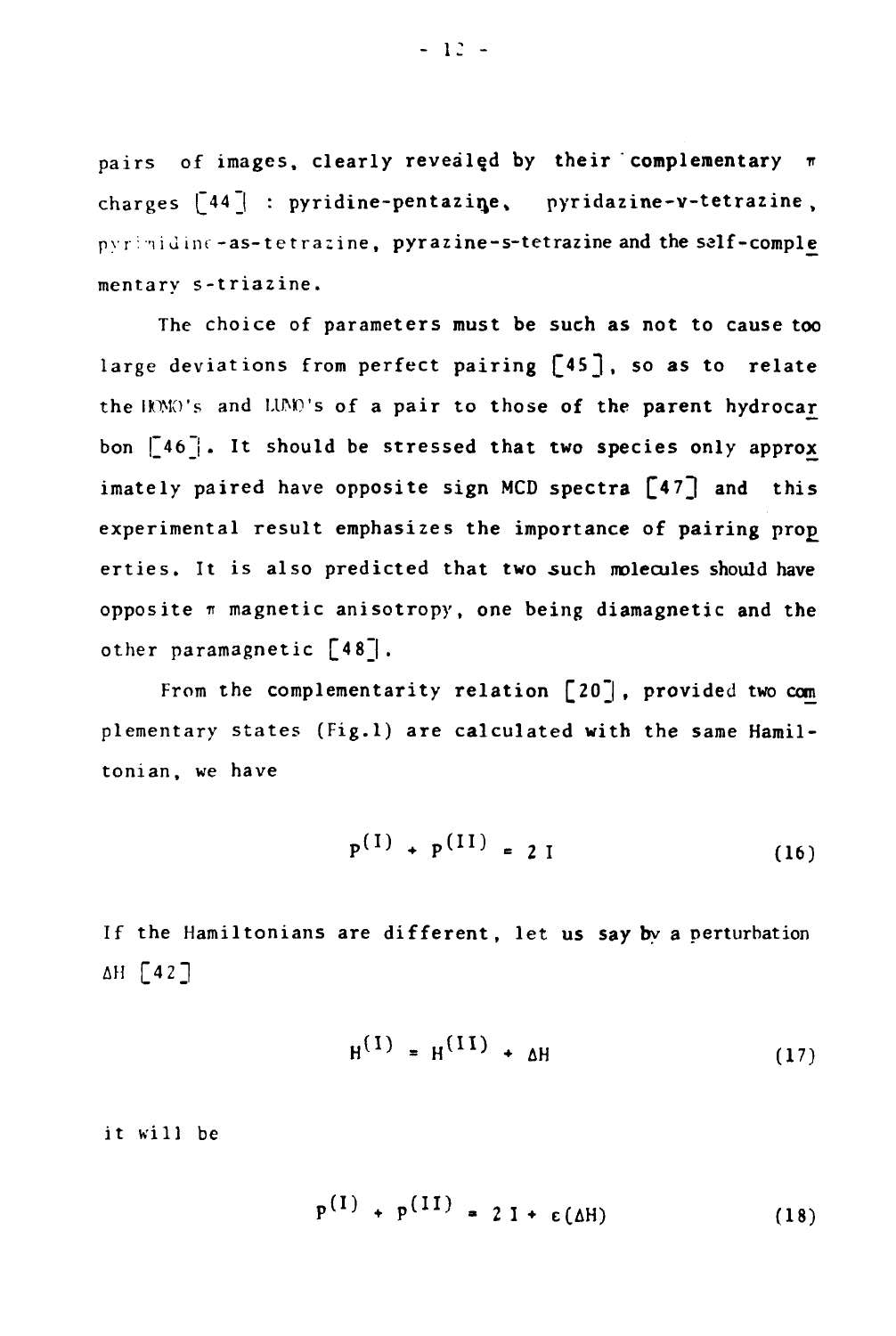**pairs** of images, clearly revealed by their complementary  $\pi$ charges  $\lceil 44 \rceil$  : pyridine-pentazine, pyridazine-v-tetrazine, pyrimidine-as-tetrazine, pyrazine-s-tetrazine and the salf-comple **mentary s-triazine.**

**The choice of parameters must be such as not to cause too** large deviations from perfect pairing [45], so as to relate the HOMO's and LUMO's of a pair to those of the parent hydrocar **bon |~46j . It should be stressed that two species only approx** imately paired have opposite sign MCD spectra [47] and this experimental result emphasizes the importance of pairing prop erties. It is also predicted that two such molecules should have opposite  $\pi$  magnetic anisotropy, one being diamagnetic and the **other paramagnetic [48\_|.**

**From the complementarity relation [20~| , provided two com plementary states (Fig.l) are calculated with the same Hamiltonian, we have**

$$
P^{(1)} + P^{(II)} = 2 I \tag{16}
$$

**If the Hamiltonians are different, let us say by a perturbation AH [4 2]**

 $\lambda = \lambda$ 

<u>and the second second</u>

$$
H^{(1)} = H^{(11)} + \Delta H \tag{17}
$$

**it will be**

$$
P^{(1)} + P^{(11)} = 2I + \varepsilon(\Delta H) \qquad (18)
$$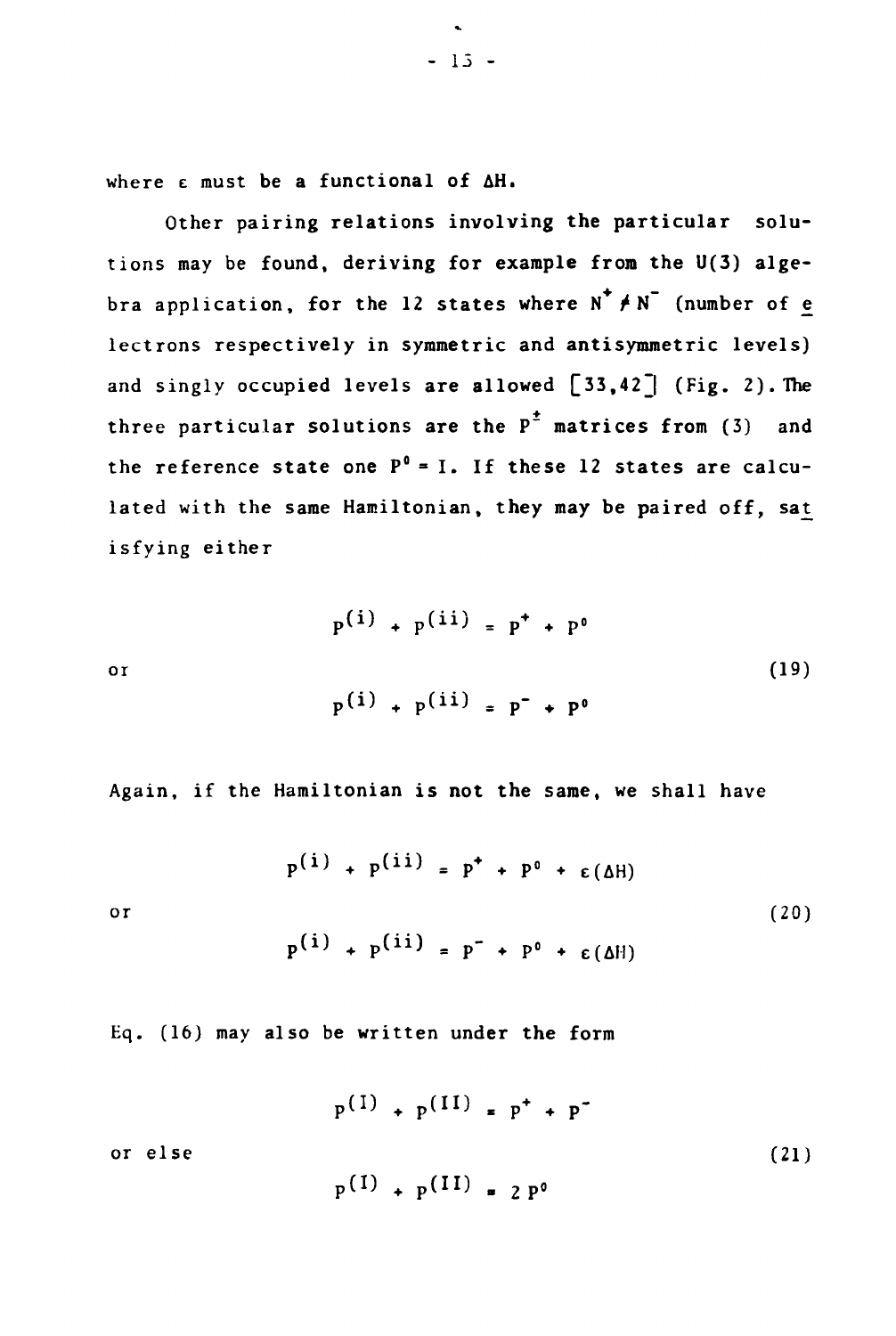**where e must be a functional of AH.**

**Other pairing relations involving the particular solutions may be found, deriving for example from the U(3) alge**bra application, for the 12 states where  $N^+ \neq N^-$  (number of e **lectrons respectively in symmetric and antisymmetric levels)** and singly occupied levels are allowed [33,42<sup>]</sup> (Fig. 2). The **three particular solutions are the P~ matrices from (3) and the reference state one P°= I. If these 12 states are calculated with the same Hamiltonian, they may be paired off, isfying either**

$$
p^{(i)} + p^{(ii)} = p^{+} + p^{0}
$$
  
or  

$$
p^{(i)} + p^{(ii)} = p^{-} + p^{0}
$$
 (19)

**Again, if the Hamiltonian is not the same, we shall have**

 $p^{(i)} + p^{(ii)} = p^+ + p^0 + \varepsilon(\Delta H)$ **or (20)**  $p^{(i)} + p^{(ii)} = p^{+} + p^{0} + \varepsilon(M)$ 

**Eq. (16) may also be written under the form**

 $p^{(1)} + p^{(11)} = p^+ + p^$ **or else (21)**

$$
f_{\rm{max}}
$$

 $p(1)$  +  $p(11)$  = 2  $p^0$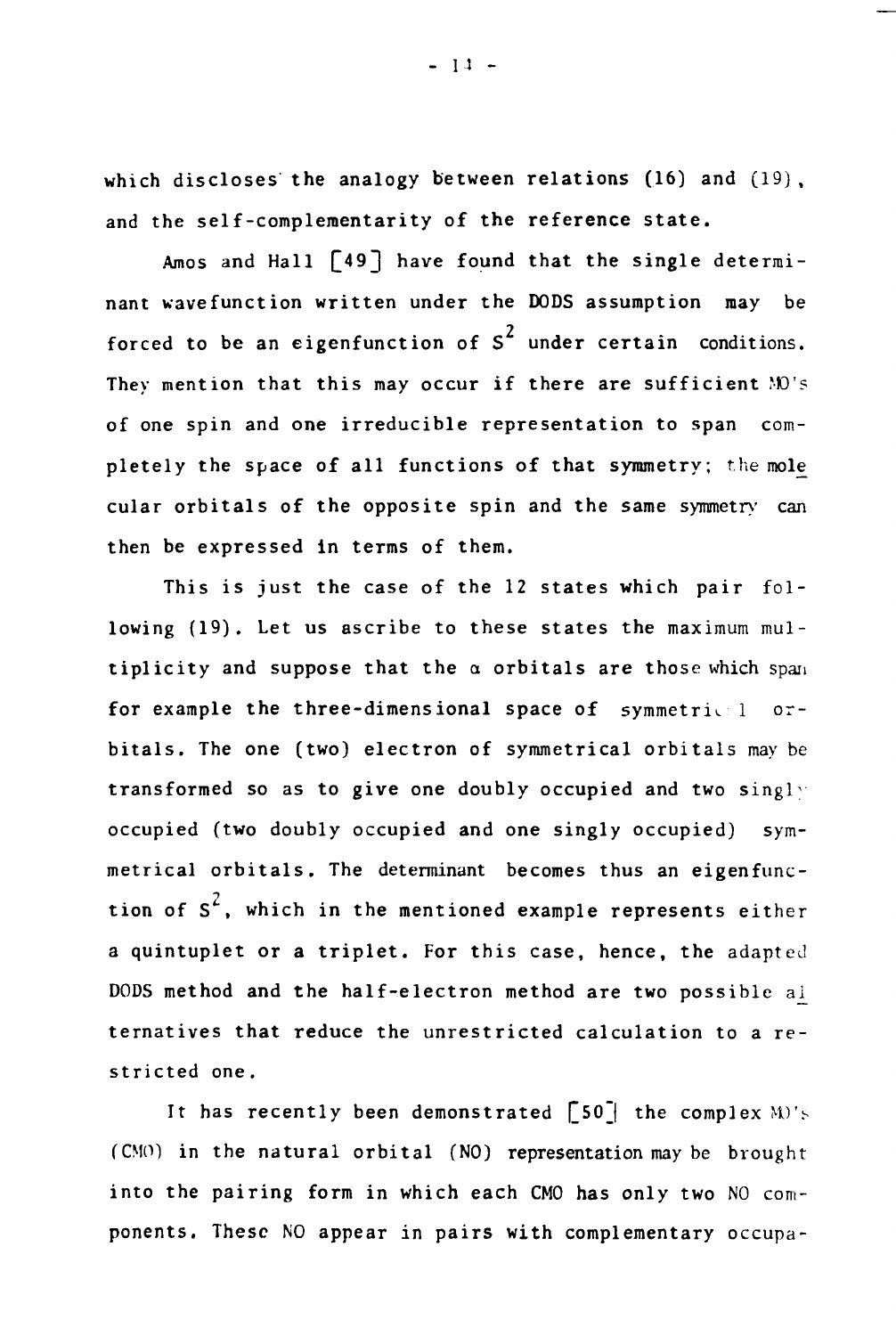**which discloses the analogy between relations (16) and and the self-complementarity of the reference state.**

Amos and Hall  $\lceil 49 \rceil$  have found that the single determi**nant wavefunction written under the DODS assumption may be** forced to be an eigenfunction of S<sup>2</sup> under certain conditions. **They mention that this may occur if there are sufficient MO's of one spin and one irreducible representation to span completely the space of all functions of that symmetry; the mole\_ cular orbitais of the opposite spin and the same symmetry can then be expressed in terms of them.**

**This is just the case of the 12 states which pair following (19). Let us ascribe to these states the maximum multiplicity and suppose that the a orbitais are those which span for example the three-dimensional space of symmetric 1 orbitais. The one (two) electron of symmetrical orbitais may be transformed so as to give one doubly occupied and two singly occupied (two doubly occupied and one singly occupied) symmetrical orbitais. The determinant becomes thus an eigenfunction of S^, which in the mentioned example represents either a quintuplet or a triplet. For this case, hence, the adapted DODS method and the half-electron method are two possible ai\_ ternatives that reduce the unrestricted calculation to a restricted one.**

It has recently been demonstrated [50<sup>\*</sup>] the complex M)'s **(CMO) in the natural orbital (NO) representation may be brought** into the pairing form in which each CMO has only two NO com**ponents. These NO appear in pairs with complementary occupa-**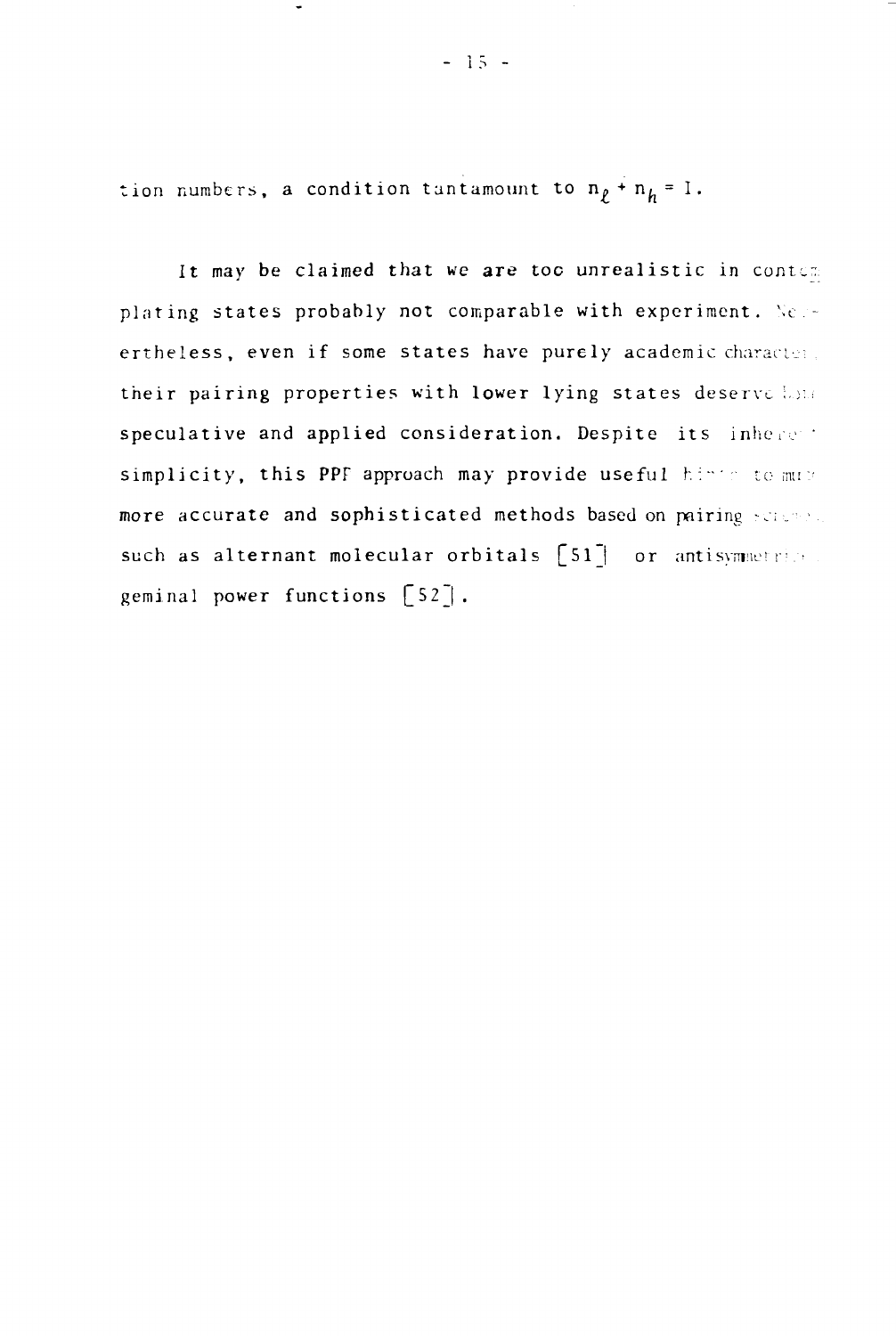tion numbers, a condition tantamount to  $n<sub>p</sub> + n<sub>h</sub> = 1$ .

It may be claimed that we are too unrealistic in contem plating states probably not comparable with experiment. Neuertheless, even if some states have purely academic characters. their pairing properties with lower lying states deserve lote speculative and applied consideration. Despite its inhere t simplicity, this PPF approach may provide useful hinter to must more accurate and sophisticated methods based on pairing scale  $\epsilon$ such as alternant molecular orbitals  $[51]$  or antisymmetries. geminal power functions  $\lceil 52 \rceil$ .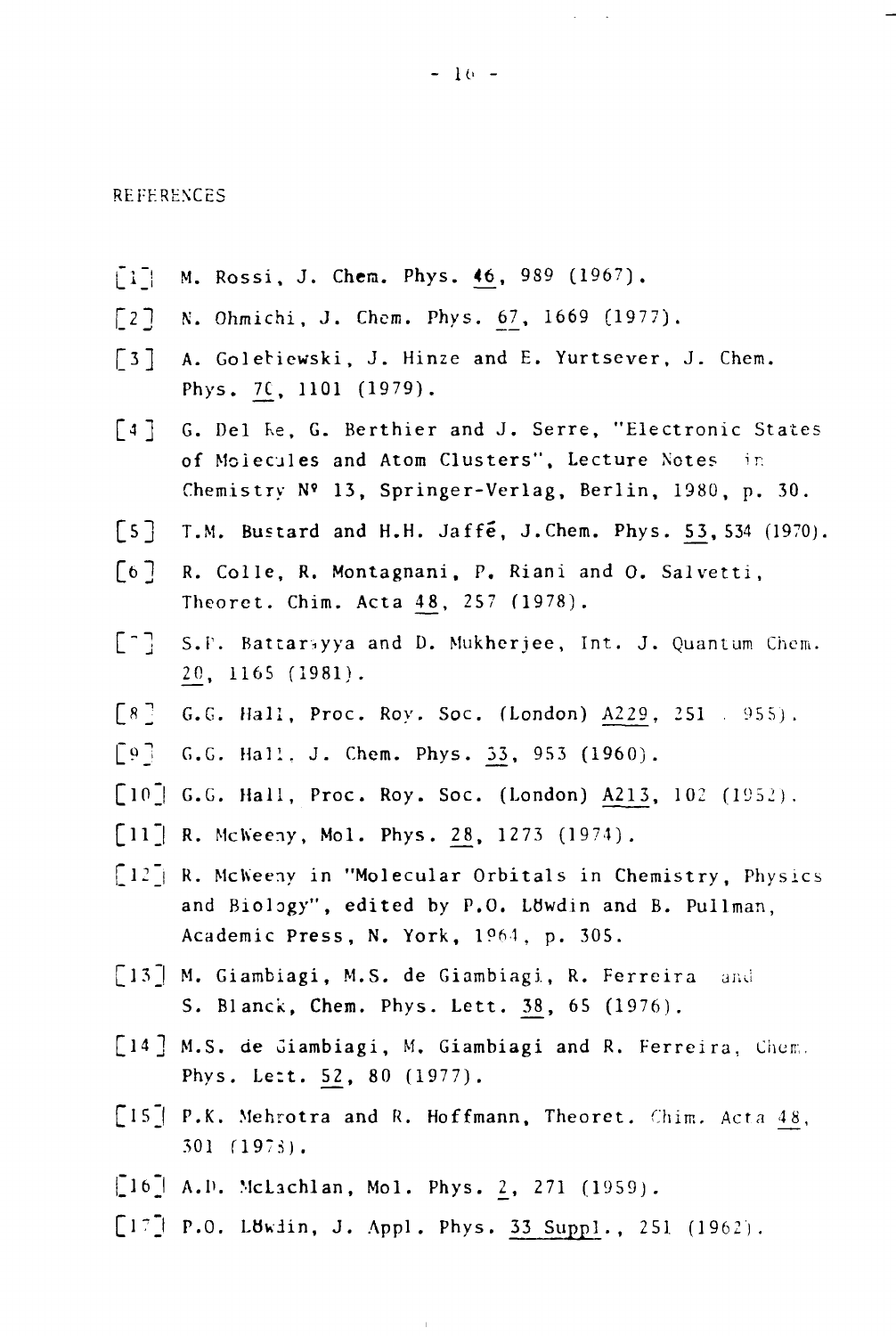#### REFERENCES

- $[1]$  M. Rossi, J. Chem. Phys. 46, 989 (1967).
- $[2]$  N. Ohmichi, J. Chem. Phys. 67, 1669 (1977).
- £ 3] A. Golebiewski, J. Hinze and E. Yurtsever, J. Chem. Phys. 7£, 1101 (1979).
- [4] G. Del Re, G. Berthier and J. Serre, "Electronic States of Molecules and Atom Clusters", Lecture Notes in Chemistry N« 13, Springer-Verlag, Berlin, 1980, p. 30.
- $\lceil 5 \rceil$  T.M. Bustard and H.H. Jaffe, J. Chem. Phys. 53, 534 (1970).
- [6] R. Colle, R. Montagnani, P. Riani and O. Salvetti, Theoret. Chim. Acta £8, 257 (1978).
- ["] S.P. Battariyya and D. Mukherjee, Int. J. Quantum Chem. 2\_0, 1165 (1981).
- $[8]$  G.G. Hall, Proc. Roy. Soc. (London) A229, 251 . 955).
- [9] G.G. Hall, J. Chem. Phys. 33, 953 (1960).
- $[10]$  G.G. Hall, Proc. Roy. Soc. (London) A213, 102 (1952).
- $[11]$  R. McWeeny, Mol. Phys. 28, 1273 (1974).
- $\lceil 12 \rceil$  R. McWeeny in "Molecular Orbitals in Chemistry, Physics and Biology", edited by P.O. Lowdin and B. Pullman, Academic Press, N. York, 1964, p. 305.
- [13] M. Giambiagi, M.S. de Giambiagi, R. Ferreira and S. Blanck, Chem. Phys. Lett. 38, 65 (1976).
- [14] M.S. de Giambiagi, M. Giambiagi and R. Ferreira, Chem. Phys. Lett. 52, 80 (1977).
- [15] P.K. Mehrotra and R. Hoffmann, Theoret. Chim. Acta 48, 301 Í197S).
- $\,[\,16\,]$  A.D. McLachlan, Mol. Phys. 2, 271 (1959).
- $[17]$  P.O. Löwdin, J. Appl. Phys. 33 Suppl., 251 (1962).

 $\bar{1}$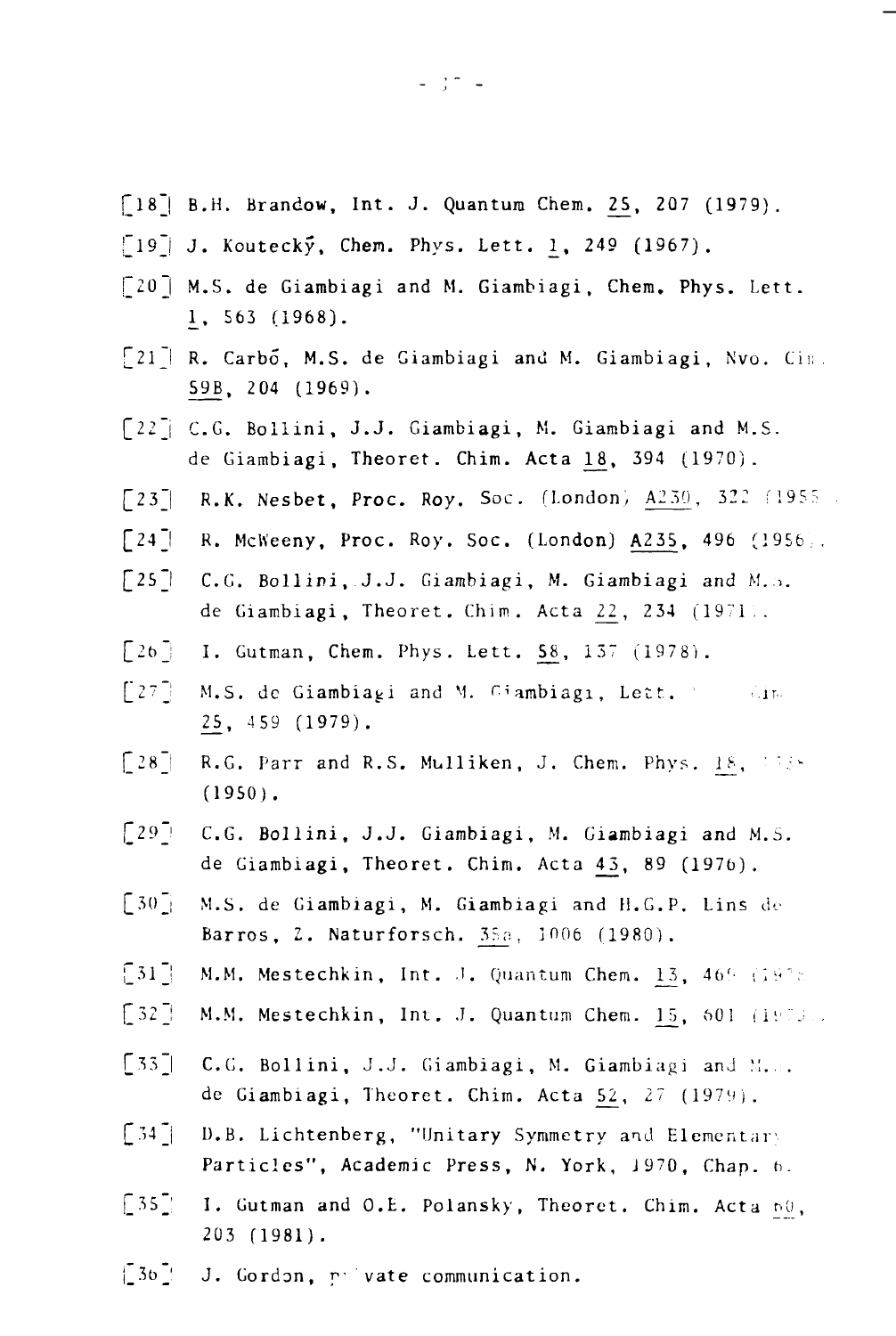- [18] B.H. Brandow, Int. J. Quantum Chem. 25, 207 (1979).
- $\left[\begin{smallmatrix}19\end{smallmatrix}\right]$  J. Koutecky, Chem. Phys. Lett. 1, 249 (1967).
- $\lceil 20 \rceil$  M.S. de Giambiagi and M. Giambiagi, Chem. Phys. Lett. 1\_, 563 (1968).
- [21] R. Carbo, M.S. de Giambiagi and M. Giambiagi, Nvo. Cim. 59B, 204 (1969).
- [22] C.G. Bollini, J.J. Giambiagi, M. Giambiagi and M.S. de Giambiagi, Theoret. Chim. Acta 18, 394 (1970).
- $[23]$  R.K. Nesbet, Proc. Roy. Soc. (London)  $A230$ , 322 (1955)
- $[24]$  R. McWeeny, Proc. Roy. Soc. (London) A235, 496 (1956).
- [25] C.G. Bollini, J.J. Giambiagi, M. Giambiagi and M.S. de Giambiagi, Theoret. Chim. Acta  $22$ ,  $234$  (1971).
- $[26]$  I. Gutman, Chem. Phys. Lett. 58, 137 (1978).
- [2"j M.S. de Giambia^i and M. r.iambiagi, Lett. .'.jr.. 2\_5, 459 (1979).
- $[28]$  R.G. Parr and R.S. Mulliken, J. Chem. Phys. 18, '338 (1950) .
- [29\_! C.G. Bollini, J.J. Giambiagi, M. Giambiagi and M.S. de Giambiagi, Theoret. Chim. Acta 43, 89 (1976).
- $\begin{bmatrix} 30 \end{bmatrix}$  M.S. de Giambiagi, M. Giambiagi and H.G.P. Lins de Barros, 2. Naturforsch. 35a, 1006 (1980).
- $[31]$  M.M. Mestechkin, Int. J. Quantum Chem. 13, 469 (1978)
- $[32]$  M.M. Mestechkin, Int. J. Quantum Chem. 15, 601 (1973).
- [33] C.G. Bollini, J.J. Giambiagi, M. Giambiagi and M... de Giambiagi, Theoret. Chim. Acta  $52$ ,  $27$  (1979).
- $[34]$  D.B. Lichtenberg, "Unitary Symmetry and Elementary Particles", Academic Press, N. York, 1970, Chap. 6.
- $[35]$  I. Gutman and O.E. Polansky, Theoret. Chim. Acta  $n\theta$ , 203 (1981).
- |\_3t)\_' J. Gordon, p- vate communication.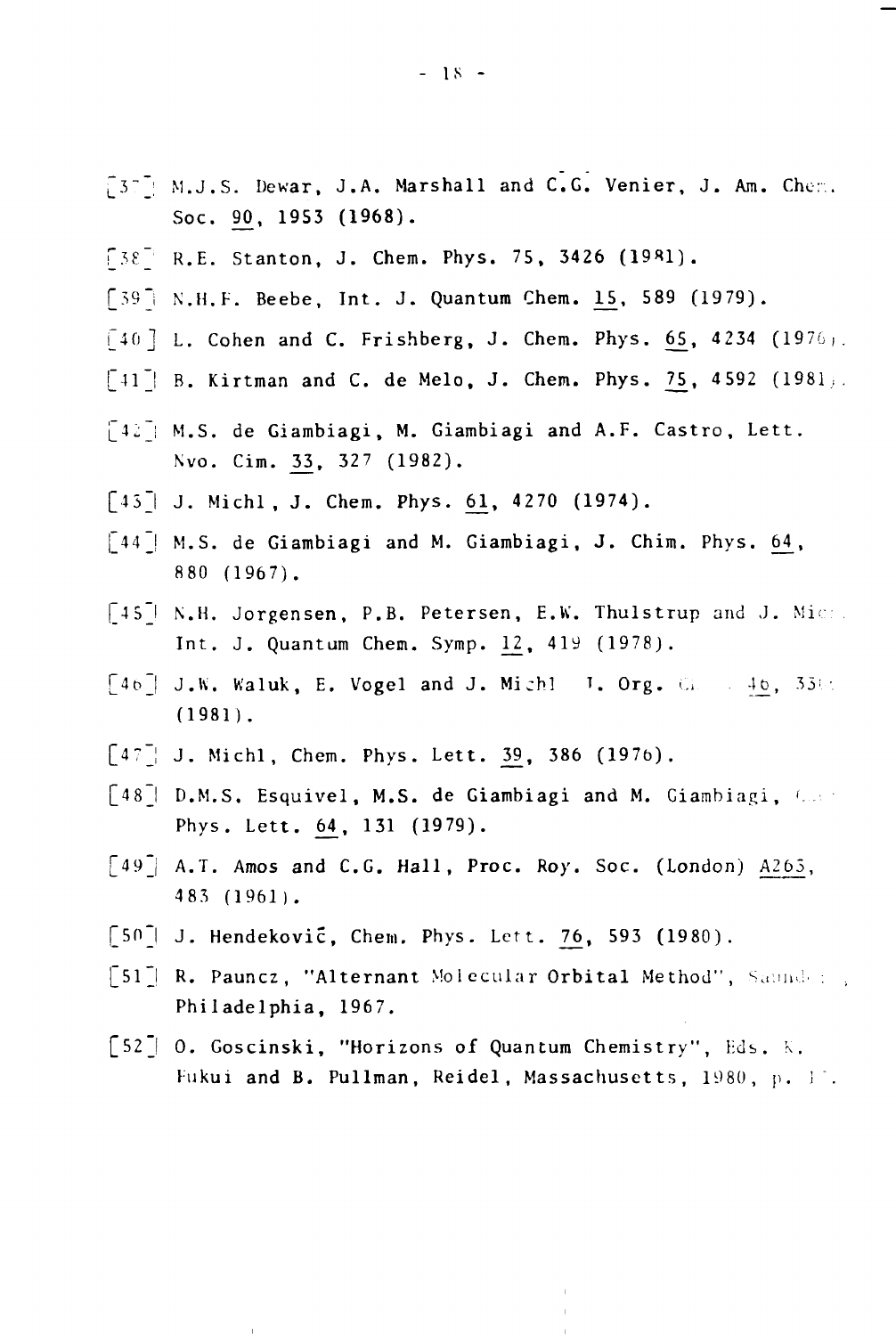- [37] M.J.S. Dewar, J.A. Marshall and C.G. Venier, J. Am. Chem. Soc. 90, 1953 (1968).
- $[38^{-1}$  R.E. Stanton, J. Chem. Phys. 75, 3426 (1981).
- [39] N.H.F. Beebe, Int. J. Quantum Chem. 15, 589 (1979).
- $\lceil 40 \rceil$  L. Cohen and C. Frishberg, J. Chem. Phys. 65, 4234 (1976).
- $\lceil 41 \rceil$  B. Kirtman and C. de Melo, J. Chem. Phys. 75, 4592 (1981).
- $[42]$ : M.S. de Giambiagi, M. Giambiagi and A.F. Castro, Lett. Nvo. Cim. 33, 327 (1982).
- $\lceil 43 \rceil$  J. Michl, J. Chem. Phys. 61, 4270 (1974).
- $\lceil 44 \rceil$  M.S. de Giambiagi and M. Giambiagi, J. Chim. Phys. 64, 880 (1967).
- [45] N.H. Jorgensen, P.B. Petersen, E.W. Thulstrup and J. Mic. Int. J. Quantum Chem. Symp. 12, 419 (1978).
- $[46]$  J.W. Waluk, E. Vogel and J. Michl I. Org.  $\mathbb{G} = 46, 35\%$ (1981) .
- $[47]$  J. Michl, Chem. Phys. Lett. 39, 386 (1976).
- $\lceil 48 \rceil$  D.M.S. Esquivel, M.S. de Giambiagi and M. Giambiagi,  $\ell$ . Phys. Lett. 64, 131 (1979).
- $\lceil 49 \rceil$  A.T. Amos and C.G. Hall, Proc. Roy. Soc. (London) A265, 483 (1961).
- $\lceil 50 \rceil$  J. Hendeković, Chem. Phys. Lett. 76, 593 (1980).
- $\lceil 51 \rceil$  R. Pauncz, "Alternant Molecular Orbital Method", Saunder . Philadelphia, 1967.
- [52\_| 0. Goscinski, "Horizons of Quantum Chemistry", Eds. K. Fukui and B. Pullman, Reidel, Massachusetts, 1980, p. 11.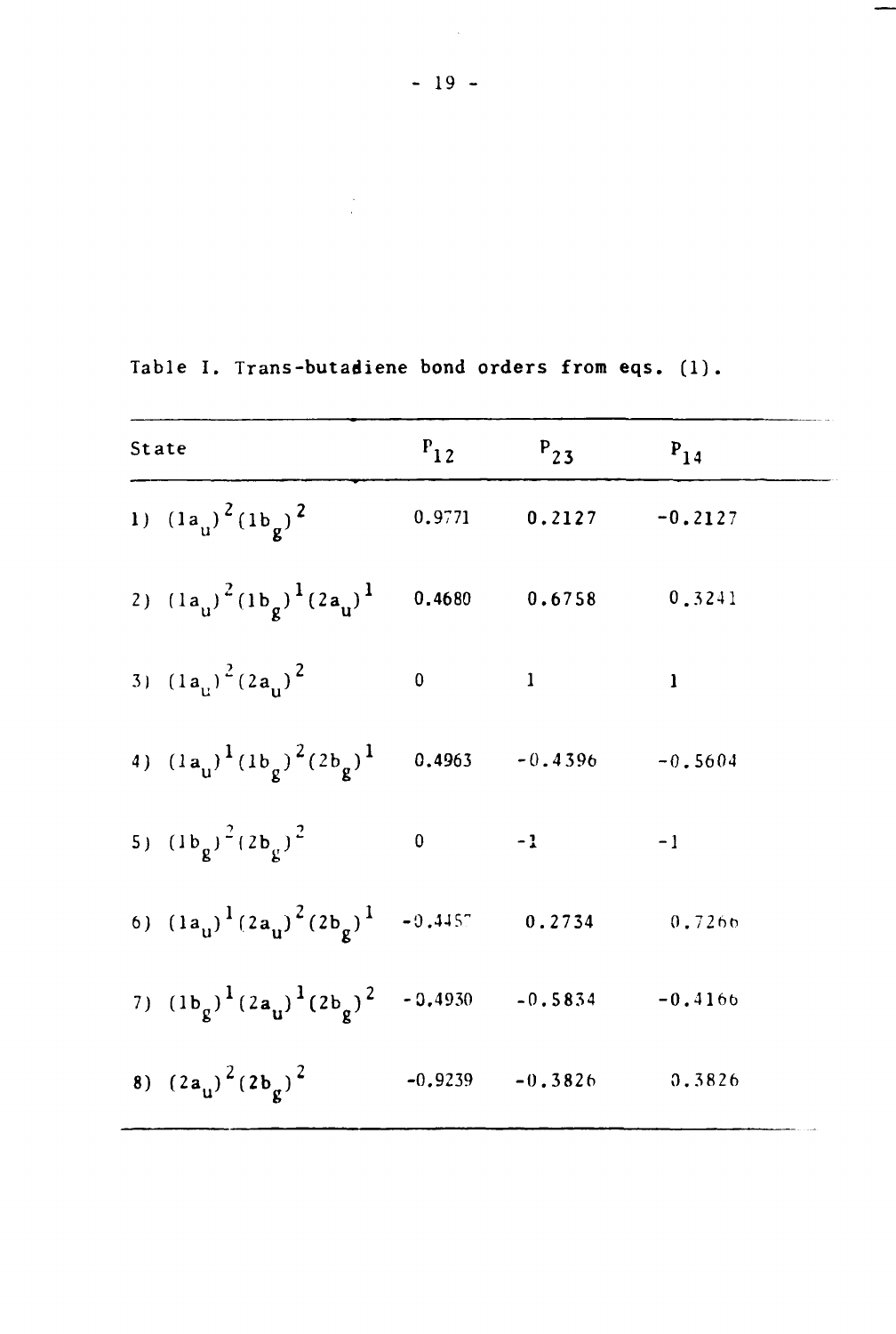$\sim 10^6$ 

| State |                                                                                     | $P_{12}$  | $P_{23}$                    | $P_{14}$     |  |
|-------|-------------------------------------------------------------------------------------|-----------|-----------------------------|--------------|--|
|       | 1) $(1a_{u})^{2} (1b_{g})^{2}$                                                      |           | $0.9771$ $0.2127$ $-0.2127$ |              |  |
|       | 2) $(1a_{u})^{2}(1b_{g})^{1}(2a_{u})^{1}$                                           |           | $0.4680$ $0.6758$           | 0.3241       |  |
|       | 3) $(1a_{1})^2(2a_{1})^2$                                                           | $\pmb{0}$ | $\mathbf{1}$                | $\mathbf{l}$ |  |
|       | 4) $(1a_{\mu})^1 (1b_{\rho})^2 (2b_{\rho})^1$                                       |           | $0.4963 - 0.4396$           | $-0.5604$    |  |
|       | 5) $(1b_g)^2 (2b_g)^2$                                                              | $\pmb{0}$ | $-1$                        | $-1$         |  |
|       | 6) $(1a_{\mathbf{u}})^{1}(2a_{\mathbf{u}})^{2}(2b_{\mathbf{g}})^{1}$ -0.4457 0.2734 |           |                             | 0.7266       |  |
|       | 7) $(1b_g)^{1}(2a_g)^{1}(2b_g)^{2}$ - 0.4930 - 0.5834 - 0.4166                      |           |                             |              |  |
|       | 8) $(2a_{u})^{2}(2b_{\sigma})^{2}$                                                  |           | $-0.9239 - 0.3826$          | 0.3826       |  |

Table I. Trans-butadiene bond orders from eqs. (1).

 $\label{eq:2.1} \frac{1}{\sqrt{2}}\sum_{i=1}^n\frac{1}{\sqrt{2}}\left(\frac{1}{\sqrt{2}}\right)^2\left(\frac{1}{\sqrt{2}}\right)^2.$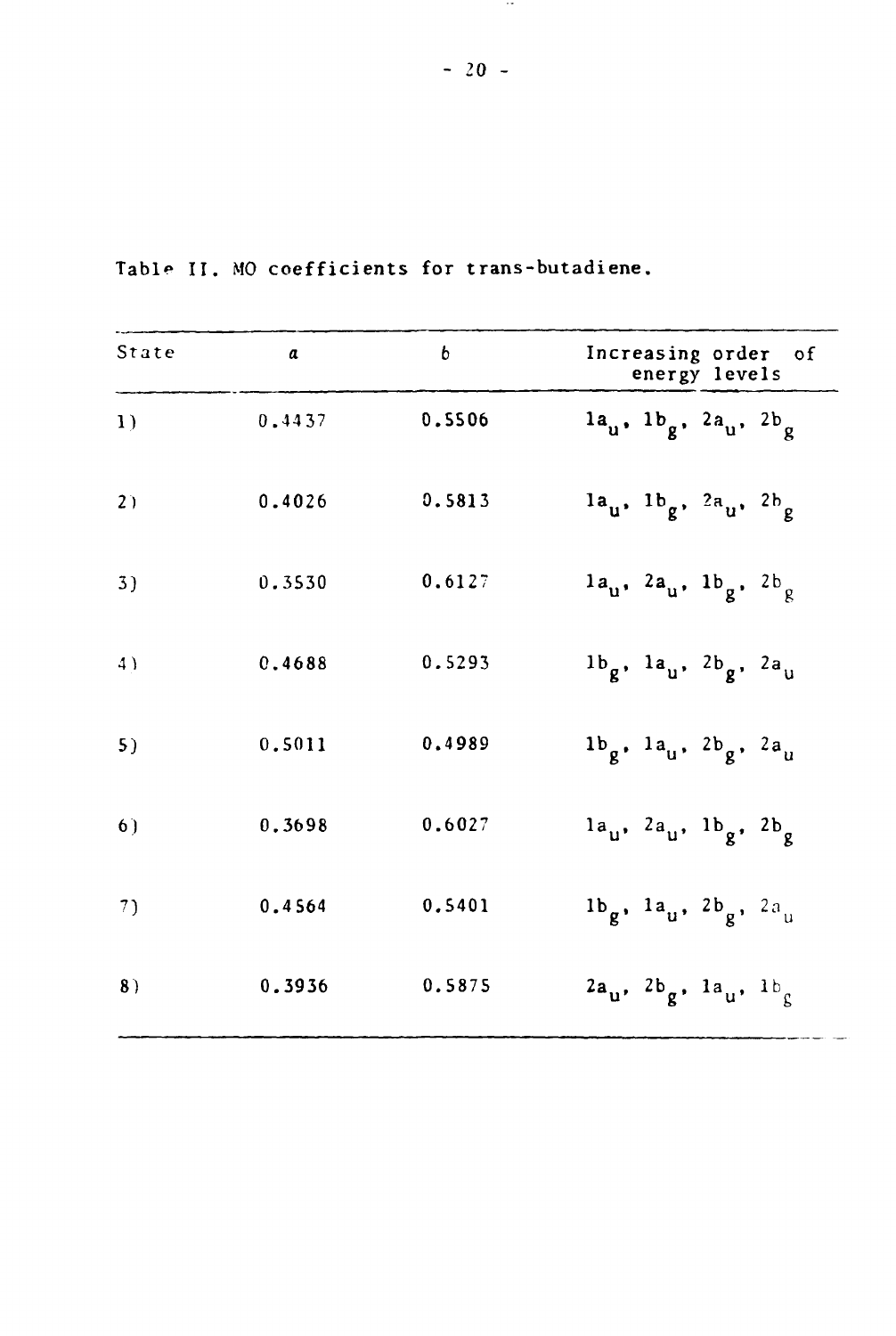| State | $\alpha$ | $\mathfrak b$ | Increasing order of<br>energy levels      |
|-------|----------|---------------|-------------------------------------------|
| 1)    | 0.4437   | 0.5506        | $1a_{u}$ , $1b_{g}$ , $2a_{u}$ , $2b_{g}$ |
| 2)    | 0.4026   | 0.5813        | $1a_{u}$ , $1b_{g}$ , $2a_{u}$ , $2b_{g}$ |
| 3)    | 0.3530   | 0.6127        | $1a_{u}$ , $2a_{u}$ , $1b_{g}$ , $2b_{g}$ |
| 4)    | 0.4688   | 0.5293        | $1b_g$ , $1a_u$ , $2b_g$ , $2a_u$         |
| 5)    | 0.5011   | 0.4989        | $1b_g$ , $1a_g$ , $2b_g$ , $2a_g$         |
| 6)    | 0.3698   | 0.6027        | $1a_{u}$ , $2a_{u}$ , $1b_{g}$ , $2b_{g}$ |
| 7)    | 0.4564   | 0.5401        | $1b_g$ , $1a_u$ , $2b_g$ , $2a_u$         |
| 8)    | 0.3936   | 0.5875        | $2a_u$ , $2b_g$ , $1a_u$ , $1b_g$         |

Table II. MO coefficients for trans-butadiene.

 $\sim$  100  $\sim$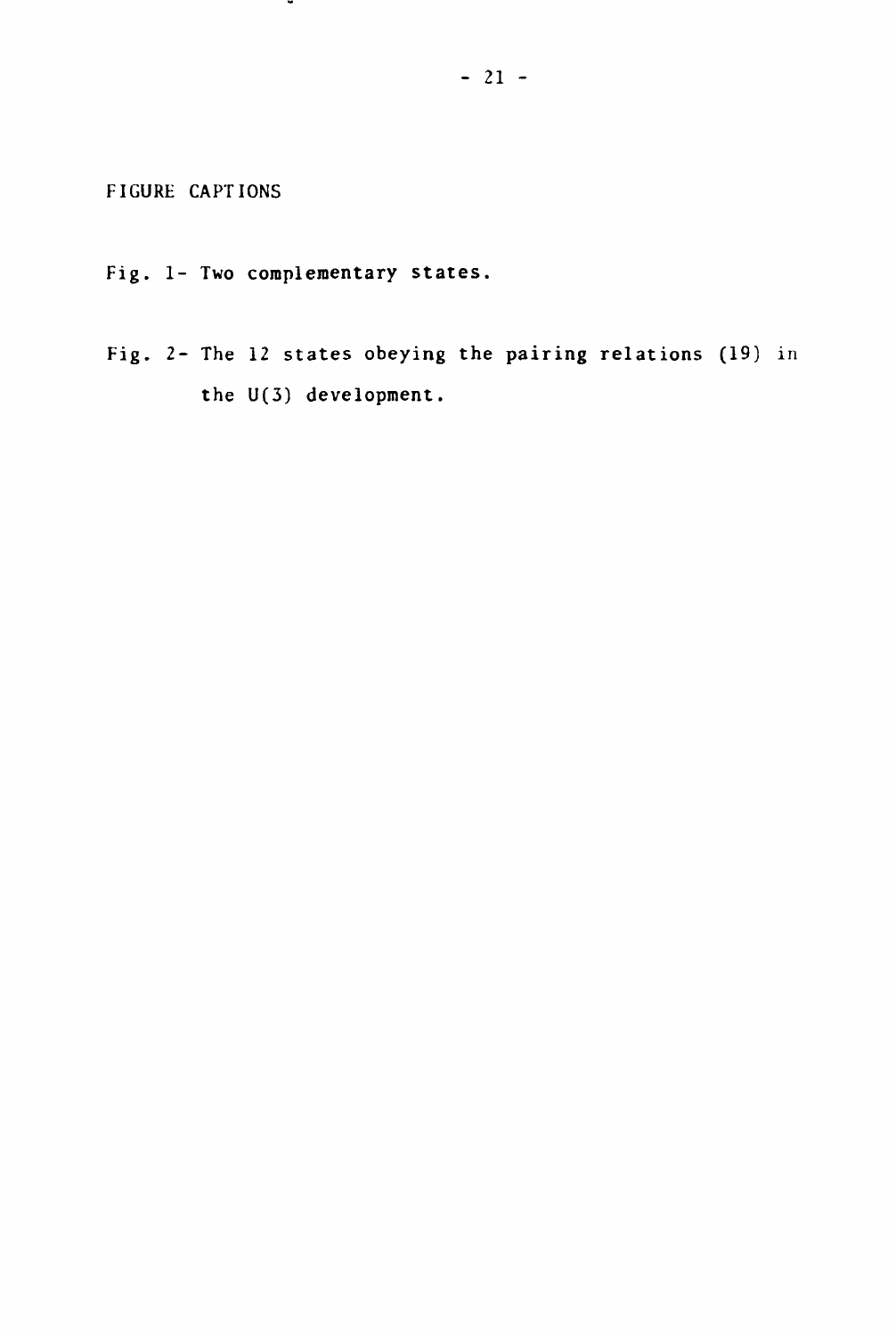**FIGURE CAPTIONS**

**Fig. 1- Two complementary states.**

.

**Fig. 2- The 12 states obeying the pairing relations (19) in the U(3) development.**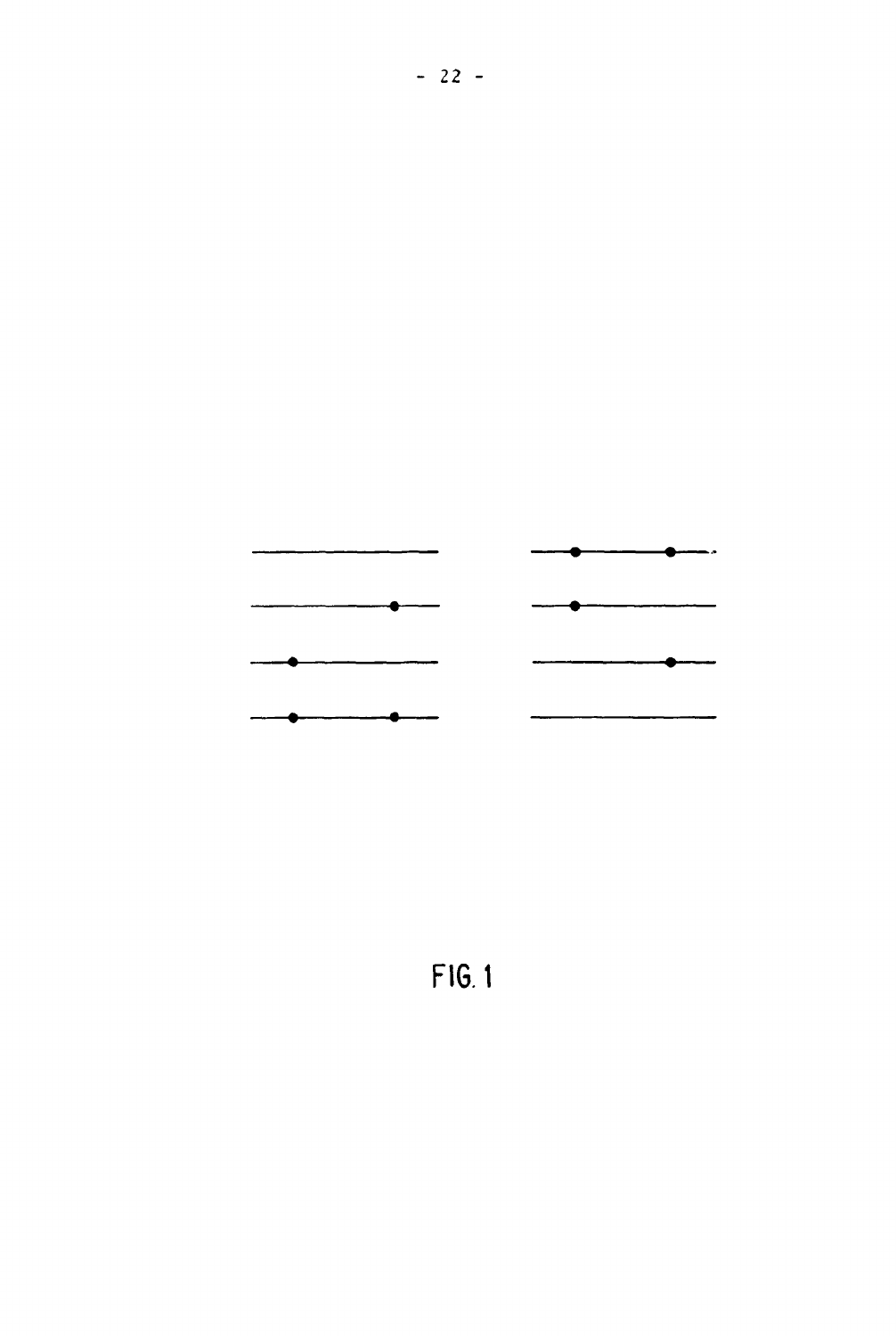

**FIG 1**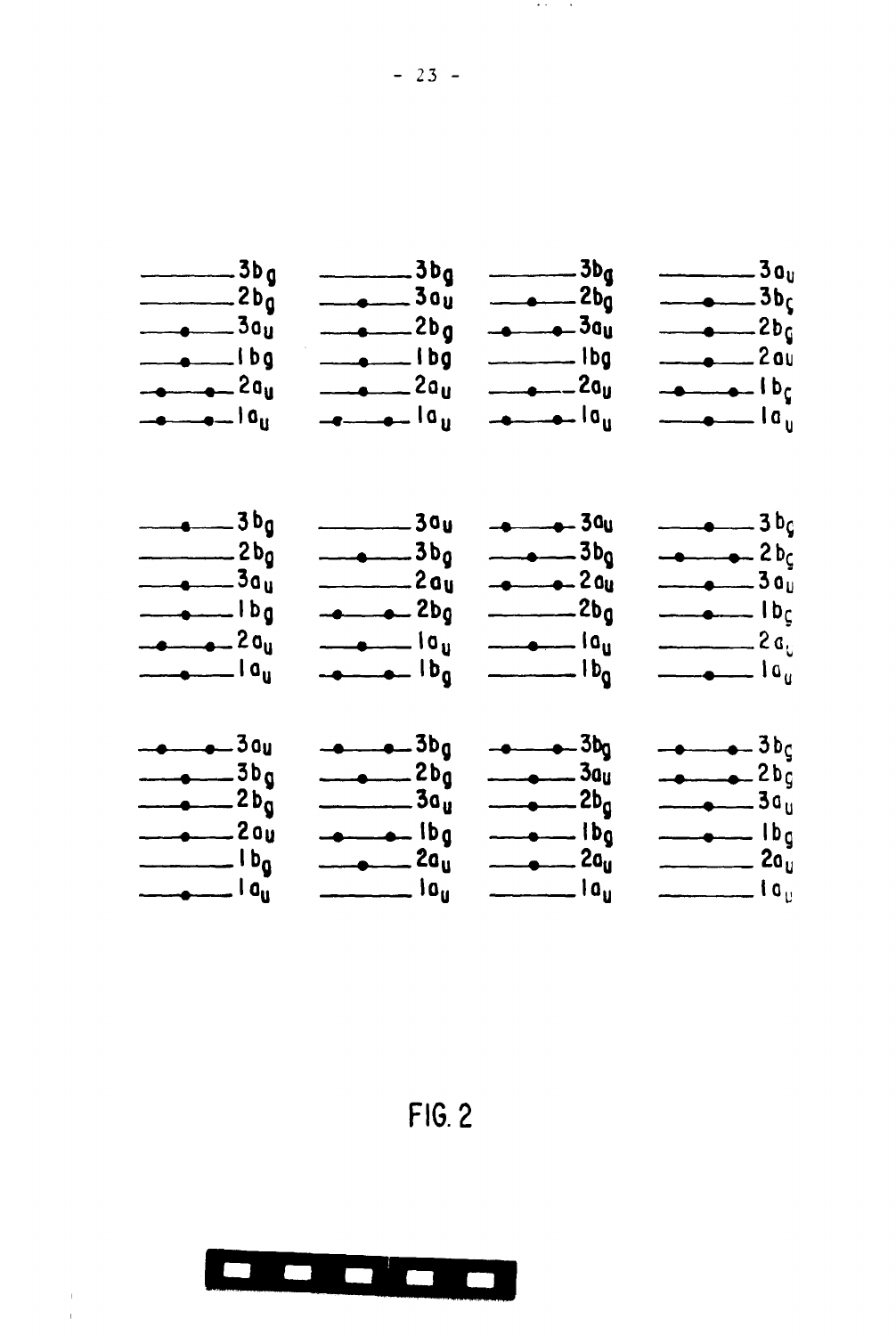

**FIG. 2**



**- 23 -**